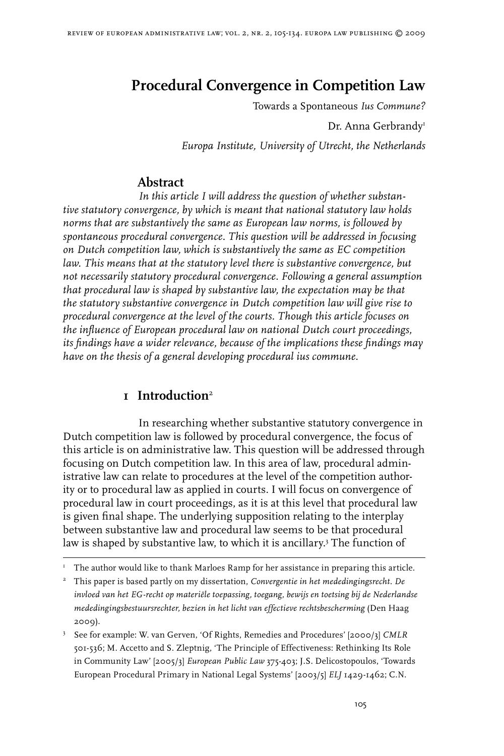# **Procedural Convergence in Competition Law**

Towards a Spontaneous *Ius Commune?*

Dr. Anna Gerbrandy

*Europa Institute, University of Utrecht, the Netherlands*

## **Abstract**

*In this article I will address the question of whether substantive statutory convergence, by which is meant that national statutory law holds norms that are substantively the same as European law norms, is followed by spontaneous procedural convergence. This question will be addressed in focusing on Dutch competition law, which is substantively the same as EC competition*  law. This means that at the statutory level there is substantive convergence, but *not necessarily statutory procedural convergence. Following a general assumption that procedural law is shaped by substantive law, the expectation may be that the statutory substantive convergence in Dutch competition law will give rise to procedural convergence at the level of the courts. Though this article focuses on the influence of European procedural law on national Dutch court proceedings, its findings have a wider relevance, because of the implications these findings may have on the thesis of a general developing procedural ius commune.*

## **1 Introduction**

In researching whether substantive statutory convergence in Dutch competition law is followed by procedural convergence, the focus of this article is on administrative law. This question will be addressed through focusing on Dutch competition law. In this area of law, procedural administrative law can relate to procedures at the level of the competition authority or to procedural law as applied in courts. I will focus on convergence of procedural law in court proceedings, as it is at this level that procedural law is given final shape. The underlying supposition relating to the interplay between substantive law and procedural law seems to be that procedural law is shaped by substantive law, to which it is ancillary. The function of

 This paper is based partly on my dissertation, *Convergentie in het mededingingsrecht. De invloed van het EG-recht op materiële toepassing, toegang, bewijs en toetsing bij de Nederlandse mededingingsbestuursrechter, bezien in het licht van effectieve rechtsbescherming* (Den Haag 2009).

 See for example: W. van Gerven, 'Of Rights, Remedies and Procedures' [2000/3] *CMLR* 501-536; M. Accetto and S. Zleptnig, 'The Principle of Effectiveness: Rethinking Its Role in Community Law' [2005/3] *European Public Law* 375-403; J.S. Delicostopoulos, 'Towards European Procedural Primary in National Legal Systems' [2003/5] *ELJ* 1429-1462; C.N.

 $T$  The author would like to thank Marloes Ramp for her assistance in preparing this article.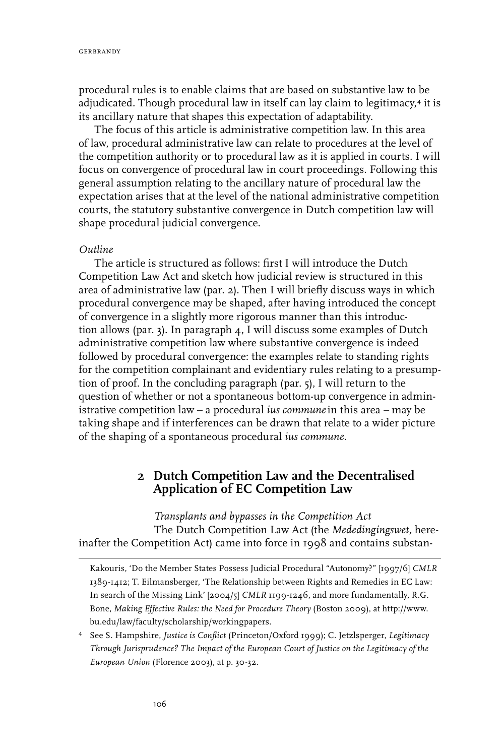procedural rules is to enable claims that are based on substantive law to be adjudicated. Though procedural law in itself can lay claim to legitimacy,<sup>4</sup> it is its ancillary nature that shapes this expectation of adaptability.

The focus of this article is administrative competition law. In this area of law, procedural administrative law can relate to procedures at the level of the competition authority or to procedural law as it is applied in courts. I will focus on convergence of procedural law in court proceedings. Following this general assumption relating to the ancillary nature of procedural law the expectation arises that at the level of the national administrative competition courts, the statutory substantive convergence in Dutch competition law will shape procedural judicial convergence.

#### *Outline*

The article is structured as follows: first I will introduce the Dutch Competition Law Act and sketch how judicial review is structured in this area of administrative law (par. 2). Then I will briefly discuss ways in which procedural convergence may be shaped, after having introduced the concept of convergence in a slightly more rigorous manner than this introduction allows (par. 3). In paragraph  $\alpha$ , I will discuss some examples of Dutch administrative competition law where substantive convergence is indeed followed by procedural convergence: the examples relate to standing rights for the competition complainant and evidentiary rules relating to a presumption of proof. In the concluding paragraph (par. 5), I will return to the question of whether or not a spontaneous bottom-up convergence in administrative competition law – a procedural *ius commune*in this area *–* may be taking shape and if interferences can be drawn that relate to a wider picture of the shaping of a spontaneous procedural *ius commune*.

## **2 Dutch Competition Law and the Decentralised Application of EC Competition Law**

*Transplants and bypasses in the Competition Act* The Dutch Competition Law Act (the *Mededingingswet,* hereinafter the Competition Act) came into force in 1998 and contains substan-

Kakouris, 'Do the Member States Possess Judicial Procedural "Autonomy?" [1997/6] *CMLR*  1389-1412; T. Eilmansberger, 'The Relationship between Rights and Remedies in EC Law: In search of the Missing Link' [2004/5] *CMLR* 1199-1246, and more fundamentally, R.G. Bone, *Making Effective Rules: the Need for Procedure Theory* (Boston 2009), at http://www. bu.edu/law/faculty/scholarship/workingpapers.

See S. Hampshire, *Justice is Conflict* (Princeton/Oxford 1999); C. Jetzlsperger, *Legitimacy Through Jurisprudence? The Impact of the European Court of Justice on the Legitimacy of the European Union* (Florence 2003), at p. 30-32.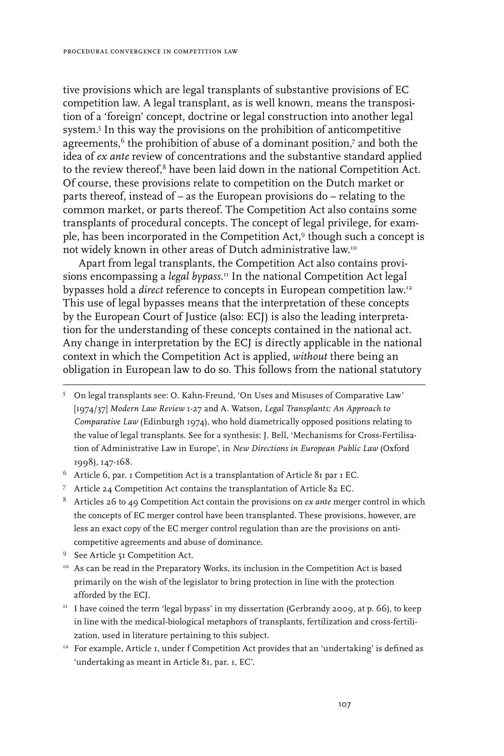tive provisions which are legal transplants of substantive provisions of EC competition law. A legal transplant, as is well known, means the transposition of a 'foreign' concept, doctrine or legal construction into another legal system.<sup>5</sup> In this way the provisions on the prohibition of anticompetitive agreements, $6$  the prohibition of abuse of a dominant position, $7$  and both the idea of *ex ante* review of concentrations and the substantive standard applied to the review thereof, $8$  have been laid down in the national Competition Act. Of course, these provisions relate to competition on the Dutch market or parts thereof, instead of – as the European provisions do – relating to the common market, or parts thereof. The Competition Act also contains some transplants of procedural concepts. The concept of legal privilege, for example, has been incorporated in the Competition Act,<sup>9</sup> though such a concept is not widely known in other areas of Dutch administrative law.10

Apart from legal transplants, the Competition Act also contains provisions encompassing a *legal bypass*. 11 In the national Competition Act legal bypasses hold a *direct* reference to concepts in European competition law.12 This use of legal bypasses means that the interpretation of these concepts by the European Court of Justice (also: ECJ) is also the leading interpretation for the understanding of these concepts contained in the national act. Any change in interpretation by the ECJ is directly applicable in the national context in which the Competition Act is applied, *without* there being an obligation in European law to do so. This follows from the national statutory

- Article 6, par. 1 Competition Act is a transplantation of Article 81 par 1 EC.
- Article 24 Competition Act contains the transplantation of Article 82 EC.
- Articles 26 to 49 Competition Act contain the provisions on *ex ante* merger control in which the concepts of EC merger control have been transplanted. These provisions, however, are less an exact copy of the EC merger control regulation than are the provisions on anticompetitive agreements and abuse of dominance.
- <sup>9</sup> See Article 51 Competition Act.
- <sup>10</sup> As can be read in the Preparatory Works, its inclusion in the Competition Act is based primarily on the wish of the legislator to bring protection in line with the protection afforded by the ECJ.
- $11$  I have coined the term 'legal bypass' in my dissertation (Gerbrandy 2009, at p. 66), to keep in line with the medical-biological metaphors of transplants, fertilization and cross-fertilization, used in literature pertaining to this subject.
- $12$  For example, Article 1, under f Competition Act provides that an 'undertaking' is defined as 'undertaking as meant in Article 81, par. 1, EC'.

On legal transplants see: O. Kahn-Freund, 'On Uses and Misuses of Comparative Law' [1974/37] *Modern Law Review* 1-27 and A. Watson, *Legal Transplants: An Approach to Comparative Law* (Edinburgh 1974), who hold diametrically opposed positions relating to the value of legal transplants. See for a synthesis: J. Bell, 'Mechanisms for Cross-Fertilisation of Administrative Law in Europe', in *New Directions in European Public Law* (Oxford 1998), 147-168.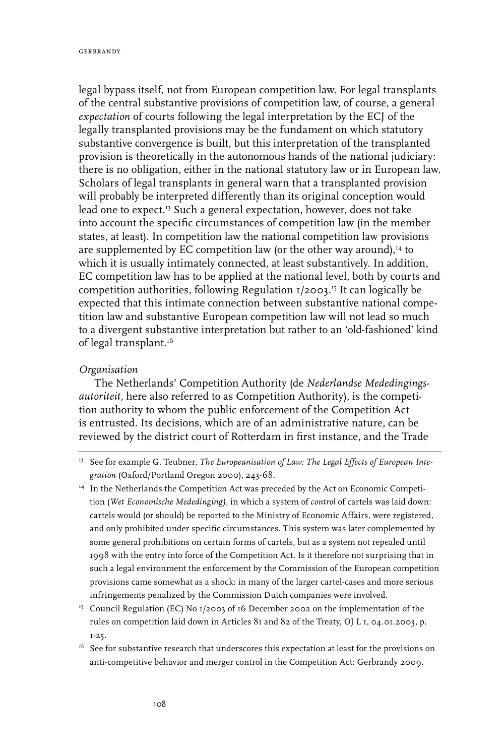legal bypass itself, not from European competition law. For legal transplants of the central substantive provisions of competition law, of course, a general *expectation* of courts following the legal interpretation by the ECJ of the legally transplanted provisions may be the fundament on which statutory substantive convergence is built, but this interpretation of the transplanted provision is theoretically in the autonomous hands of the national judiciary: there is no obligation, either in the national statutory law or in European law. Scholars of legal transplants in general warn that a transplanted provision will probably be interpreted differently than its original conception would lead one to expect.<sup>13</sup> Such a general expectation, however, does not take into account the specific circumstances of competition law (in the member states, at least). In competition law the national competition law provisions are supplemented by EC competition law (or the other way around), $^{14}$  to which it is usually intimately connected, at least substantively. In addition, EC competition law has to be applied at the national level, both by courts and competition authorities, following Regulation 1/2003. 15 It can logically be expected that this intimate connection between substantive national competition law and substantive European competition law will not lead so much to a divergent substantive interpretation but rather to an 'old-fashioned' kind of legal transplant.<sup>16</sup>

### *Organisation*

The Netherlands' Competition Authority (de *Nederlandse Mededingingsautoriteit,* here also referred to as Competition Authority), is the competition authority to whom the public enforcement of the Competition Act is entrusted. Its decisions, which are of an administrative nature, can be reviewed by the district court of Rotterdam in first instance, and the Trade

<sup>&</sup>lt;sup>13</sup> See for example G. Teubner, *The Europeanisation of Law: The Legal Effects of European Integration* (Oxford/Portland Oregon 2000), 243-68.

<sup>&</sup>lt;sup>14</sup> In the Netherlands the Competition Act was preceded by the Act on Economic Competition (*Wet Economische Mededinging)*, in which a system of *control* of cartels was laid down: cartels would (or should) be reported to the Ministry of Economic Affairs, were registered, and only prohibited under specific circumstances. This system was later complemented by some general prohibitions on certain forms of cartels, but as a system not repealed until 1998 with the entry into force of the Competition Act. Is it therefore not surprising that in such a legal environment the enforcement by the Commission of the European competition provisions came somewhat as a shock: in many of the larger cartel-cases and more serious infringements penalized by the Commission Dutch companies were involved.

<sup>&</sup>lt;sup>15</sup> Council Regulation (EC) No  $1/2003$  of 16 December 2002 on the implementation of the rules on competition laid down in Articles 81 and 82 of the Treaty, OJ L 1, 04.01.2003, p. 1-25.

 $16$  See for substantive research that underscores this expectation at least for the provisions on anti-competitive behavior and merger control in the Competition Act: Gerbrandy 2009.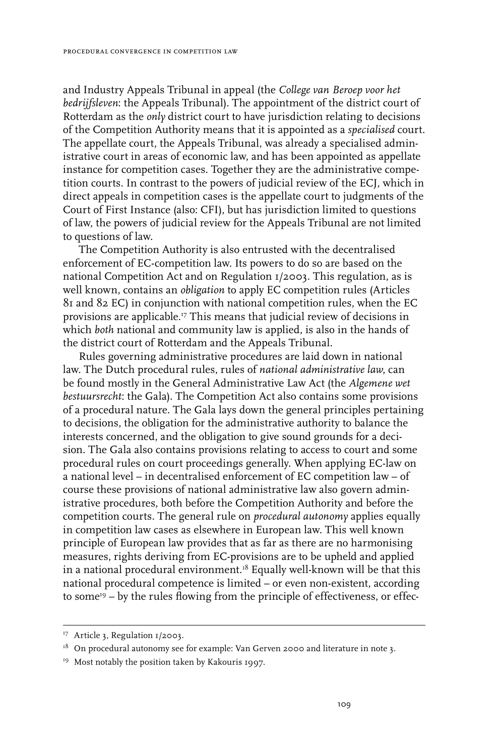and Industry Appeals Tribunal in appeal (the *College van Beroep voor het bedrijfsleven*: the Appeals Tribunal). The appointment of the district court of Rotterdam as the *only* district court to have jurisdiction relating to decisions of the Competition Authority means that it is appointed as a *specialised* court. The appellate court, the Appeals Tribunal, was already a specialised administrative court in areas of economic law, and has been appointed as appellate instance for competition cases. Together they are the administrative competition courts. In contrast to the powers of judicial review of the ECJ, which in direct appeals in competition cases is the appellate court to judgments of the Court of First Instance (also: CFI), but has jurisdiction limited to questions of law, the powers of judicial review for the Appeals Tribunal are not limited to questions of law.

The Competition Authority is also entrusted with the decentralised enforcement of EC-competition law. Its powers to do so are based on the national Competition Act and on Regulation 1/2003. This regulation, as is well known, contains an *obligation* to apply EC competition rules (Articles 81 and 82 EC) in conjunction with national competition rules, when the EC provisions are applicable.17 This means that judicial review of decisions in which *both* national and community law is applied, is also in the hands of the district court of Rotterdam and the Appeals Tribunal.

Rules governing administrative procedures are laid down in national law. The Dutch procedural rules, rules of *national administrative law*, can be found mostly in the General Administrative Law Act (the *Algemene wet bestuursrecht*: the Gala). The Competition Act also contains some provisions of a procedural nature. The Gala lays down the general principles pertaining to decisions, the obligation for the administrative authority to balance the interests concerned, and the obligation to give sound grounds for a decision. The Gala also contains provisions relating to access to court and some procedural rules on court proceedings generally. When applying EC-law on a national level – in decentralised enforcement of EC competition law – of course these provisions of national administrative law also govern administrative procedures, both before the Competition Authority and before the competition courts. The general rule on *procedural autonomy* applies equally in competition law cases as elsewhere in European law. This well known principle of European law provides that as far as there are no harmonising measures, rights deriving from EC-provisions are to be upheld and applied in a national procedural environment.18 Equally well-known will be that this national procedural competence is limited – or even non-existent, according to some $19 - by$  the rules flowing from the principle of effectiveness, or effec-

<sup>&</sup>lt;sup>17</sup> Article 3, Regulation 1/2003.

 $18$  On procedural autonomy see for example: Van Gerven 2000 and literature in note 3.

<sup>&</sup>lt;sup>19</sup> Most notably the position taken by Kakouris 1997.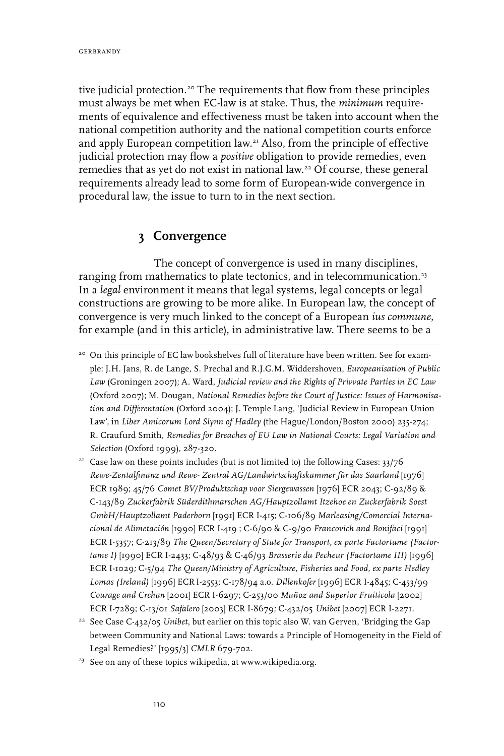tive judicial protection.<sup>20</sup> The requirements that flow from these principles must always be met when EC-law is at stake. Thus, the *minimum* requirements of equivalence and effectiveness must be taken into account when the national competition authority and the national competition courts enforce and apply European competition law.21 Also, from the principle of effective judicial protection may flow a *positive* obligation to provide remedies, even remedies that as yet do not exist in national law.22 Of course, these general requirements already lead to some form of European-wide convergence in procedural law, the issue to turn to in the next section.

## **3 Convergence**

The concept of convergence is used in many disciplines, ranging from mathematics to plate tectonics, and in telecommunication.<sup>23</sup> In a *legal* environment it means that legal systems, legal concepts or legal constructions are growing to be more alike. In European law, the concept of convergence is very much linked to the concept of a European *ius commune*, for example (and in this article), in administrative law. There seems to be a

- <sup>21</sup> Case law on these points includes (but is not limited to) the following Cases:  $33/76$ *Rewe-Zentalfinanz and Rewe- Zentral AG/Landwirtschaftskammer für das Saarland* [1976] ECR 1989; 45/76 *Comet BV/Produktschap voor Siergewassen* [1976] ECR 2043; C-92/89 & C-143/89 *Zuckerfabrik Süderdithmarschen AG/Hauptzollamt Itzehoe en Zuckerfabrik Soest GmbH/Hauptzollamt Paderborn* [1991] ECR I-415; C-106/89 *Marleasing/Comercial Internacional de Alimetación* [1990] ECR I-419 ; C-6/90 & C-9/90 *Francovich and Bonifaci* [1991] ECR I-5357; C-213/89 *The Queen/Secretary of State for Transport, ex parte Factortame (Factortame I)* [1990] ECR I-2433; C-48/93 & C-46/93 *Brasserie du Pecheur (Factortame III)* [1996] ECR I-1029*;* C-5/94 *The Queen/Ministry of Agriculture, Fisheries and Food, ex parte Hedley Lomas (Ireland)* [1996] ECR I-2553; C-178/94 a.o. *Dillenkofer* [1996] ECR I-4845; C-453/99 *Courage and Crehan* [2001] ECR I-6297; C-253/00 *Muñoz and Superior Fruiticola* [2002] ECR I-7289; C-13/01 *Safalero* [2003] ECR I-8679*;* C-432/05 *Unibet* [2007] ECR I-2271.
- <sup>22</sup> See Case C-432/05 *Unibet*, but earlier on this topic also W. van Gerven, 'Bridging the Gap between Community and National Laws: towards a Principle of Homogeneity in the Field of Legal Remedies?' [1995/3] *CMLR* 679-702.
- <sup>23</sup> See on any of these topics wikipedia, at www.wikipedia.org.

<sup>&</sup>lt;sup>20</sup> On this principle of EC law bookshelves full of literature have been written. See for example: J.H. Jans, R. de Lange, S. Prechal and R.J.G.M. Widdershoven, *Europeanisation of Public Law* (Groningen 2007); A. Ward, *Judicial review and the Rights of Privvate Parties in EC Law* (Oxford 2007); M. Dougan, *National Remedies before the Court of Justice: Issues of Harmonisation and Differentation* (Oxford 2004); J. Temple Lang, 'Judicial Review in European Union Law'*,* in *Liber Amicorum Lord Slynn of Hadley* (the Hague/London/Boston 2000) 235-274; R. Craufurd Smith, *Remedies for Breaches of EU Law in National Courts: Legal Variation and Selection* (Oxford 1999), 287-320.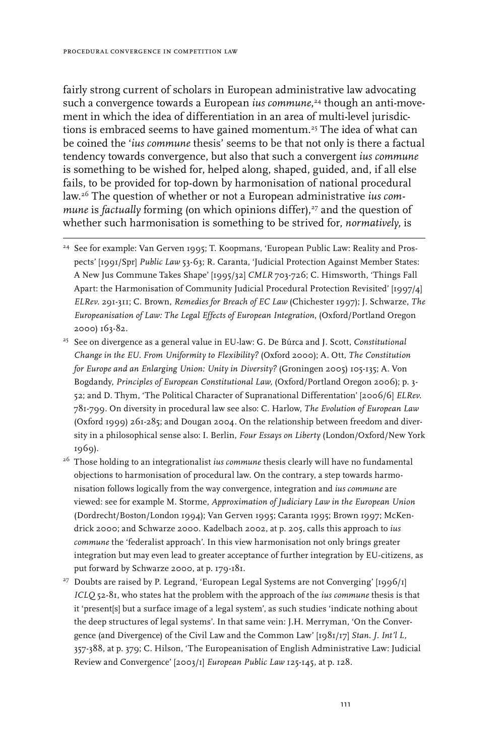fairly strong current of scholars in European administrative law advocating such a convergence towards a European *ius commune*, 24 though an anti-movement in which the idea of differentiation in an area of multi-level jurisdictions is embraced seems to have gained momentum.25 The idea of what can be coined the '*ius commune* thesis' seems to be that not only is there a factual tendency towards convergence, but also that such a convergent *ius commune* is something to be wished for, helped along, shaped, guided, and, if all else fails, to be provided for top-down by harmonisation of national procedural law.26 The question of whether or not a European administrative *ius commune* is *factually forming (on which opinions differ),<sup>27</sup> and the question of* whether such harmonisation is something to be strived for, *normatively,* is

- <sup>24</sup> See for example: Van Gerven 1995; T. Koopmans, 'European Public Law: Reality and Prospects' [1991/Spr] *Public Law* 53-63; R. Caranta, 'Judicial Protection Against Member States: A New Jus Commune Takes Shape' [1995/32] *CMLR* 703-726; C. Himsworth, 'Things Fall Apart: the Harmonisation of Community Judicial Procedural Protection Revisited' [1997/4] *ELRev.* 291-311; C. Brown, *Remedies for Breach of EC Law* (Chichester 1997); J. Schwarze, *The Europeanisation of Law: The Legal Effects of European Integration*, (Oxford/Portland Oregon 2000) 163-82.
- <sup>25</sup> See on divergence as a general value in EU-law: G. De Búrca and J. Scott, *Constitutional Change in the EU. From Uniformity to Flexibility?* (Oxford 2000); A. Ott, *The Constitution for Europe and an Enlarging Union: Unity in Diversity?* (Groningen 2005) 105-135; A. Von Bogdandy, *Principles of European Constitutional Law,* (Oxford/Portland Oregon 2006); p. 3- 52; and D. Thym, 'The Political Character of Supranational Differentation' [2006/6] *ELRev*. 781-799. On diversity in procedural law see also: C. Harlow, *The Evolution of European Law* (Oxford 1999) 261-285; and Dougan 2004. On the relationship between freedom and diversity in a philosophical sense also: I. Berlin, *Four Essays on Liberty* (London/Oxford/New York 1969).
- <sup>26</sup> Those holding to an integrationalist *ius commune* thesis clearly will have no fundamental objections to harmonisation of procedural law. On the contrary, a step towards harmonisation follows logically from the way convergence, integration and *ius commune* are viewed: see for example M. Storme, *Approximation of Judiciary Law in the European Union* (Dordrecht/Boston/London 1994); Van Gerven 1995; Caranta 1995; Brown 1997; McKendrick 2000; and Schwarze 2000. Kadelbach 2002, at p. 205, calls this approach to *ius commune* the 'federalist approach'. In this view harmonisation not only brings greater integration but may even lead to greater acceptance of further integration by EU-citizens, as put forward by Schwarze 2000, at p. 179-181.
- <sup>27</sup> Doubts are raised by P. Legrand, 'European Legal Systems are not Converging'  $[1996/t]$ *ICLQ* 52-81, who states hat the problem with the approach of the *ius commune* thesis is that it 'present[s] but a surface image of a legal system', as such studies 'indicate nothing about the deep structures of legal systems'. In that same vein: J.H. Merryman, 'On the Convergence (and Divergence) of the Civil Law and the Common Law' [1981/17] *Stan. J. Int'l L,*  357-388, at p. 379; C. Hilson, 'The Europeanisation of English Administrative Law: Judicial Review and Convergence' [2003/1] *European Public Law* 125-145, at p. 128.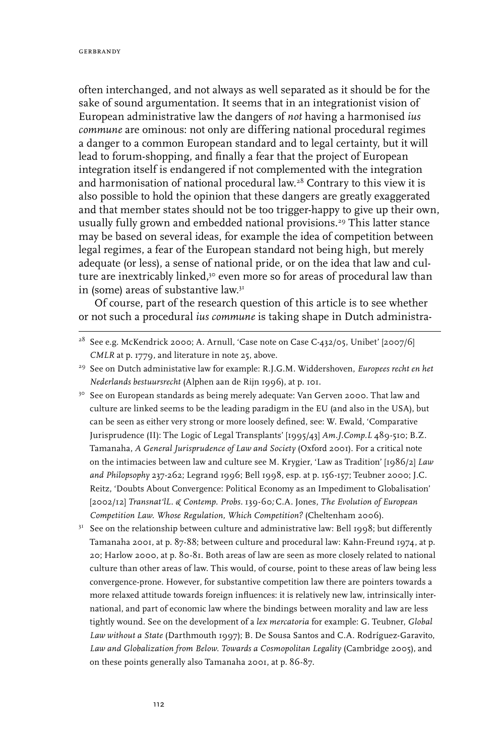often interchanged, and not always as well separated as it should be for the sake of sound argumentation. It seems that in an integrationist vision of European administrative law the dangers of *not* having a harmonised *ius commune* are ominous: not only are differing national procedural regimes a danger to a common European standard and to legal certainty, but it will lead to forum-shopping, and finally a fear that the project of European integration itself is endangered if not complemented with the integration and harmonisation of national procedural law.28 Contrary to this view it is also possible to hold the opinion that these dangers are greatly exaggerated and that member states should not be too trigger-happy to give up their own, usually fully grown and embedded national provisions.<sup>29</sup> This latter stance may be based on several ideas, for example the idea of competition between legal regimes, a fear of the European standard not being high, but merely adequate (or less), a sense of national pride, or on the idea that law and culture are inextricably linked,<sup>30</sup> even more so for areas of procedural law than in (some) areas of substantive law.<sup>31</sup>

Of course, part of the research question of this article is to see whether or not such a procedural *ius commune* is taking shape in Dutch administra-

- <sup>30</sup> See on European standards as being merely adequate: Van Gerven 2000. That law and culture are linked seems to be the leading paradigm in the EU (and also in the USA), but can be seen as either very strong or more loosely defined, see: W. Ewald, 'Comparative Jurisprudence (II): The Logic of Legal Transplants' [1995/43] *Am.J.Comp.L* 489-510; B.Z. Tamanaha, *A General Jurisprudence of Law and Society* (Oxford 2001). For a critical note on the intimacies between law and culture see M. Krygier, 'Law as Tradition' [1986/2] *Law and Philopsophy* 237-262; Legrand 1996; Bell 1998, esp. at p. 156-157; Teubner 2000; J.C. Reitz, 'Doubts About Convergence: Political Economy as an Impediment to Globalisation' [2002/12] *Transnat'lL. & Contemp. Probs.* 139-60*;* C.A. Jones, *The Evolution of European Competition Law. Whose Regulation, Which Competition?* (Cheltenham 2006).
- $3<sup>T</sup>$  See on the relationship between culture and administrative law: Bell 1998; but differently Tamanaha 2001, at p. 87-88; between culture and procedural law: Kahn-Freund 1974, at p. 20; Harlow 2000, at p. 80-81. Both areas of law are seen as more closely related to national culture than other areas of law. This would, of course, point to these areas of law being less convergence-prone. However, for substantive competition law there are pointers towards a more relaxed attitude towards foreign influences: it is relatively new law, intrinsically international, and part of economic law where the bindings between morality and law are less tightly wound. See on the development of a *lex mercatoria* for example: G. Teubner, *Global Law without a State* (Darthmouth 1997); B. De Sousa Santos and C.A. Rodríguez-Garavito, Law and Globalization from Below. Towards a Cosmopolitan Legality (Cambridge 2005), and on these points generally also Tamanaha 2001, at p. 86-87.

<sup>&</sup>lt;sup>28</sup> See e.g. McKendrick 2000; A. Arnull, 'Case note on Case C-432/05, Unibet' [2007/6] *CMLR* at p. 1779, and literature in note 25, above.

<sup>29</sup> See on Dutch administative law for example: R.J.G.M. Widdershoven, *Europees recht en het Nederlands bestuursrecht* (Alphen aan de Rijn 1996), at p. 101.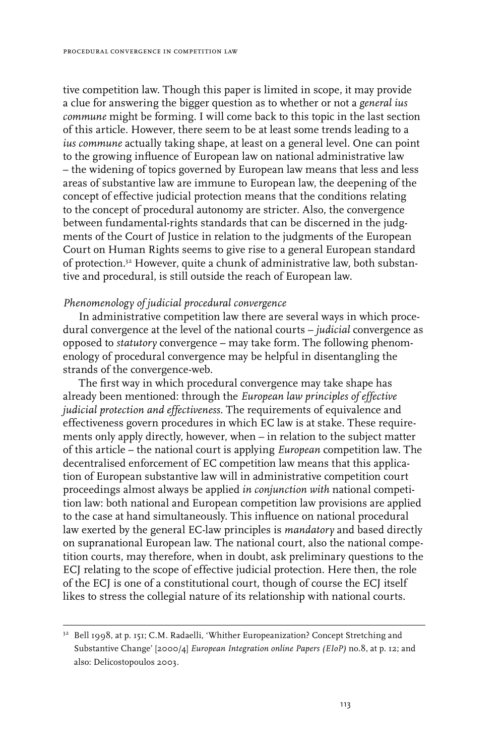tive competition law. Though this paper is limited in scope, it may provide a clue for answering the bigger question as to whether or not a *general ius commune* might be forming. I will come back to this topic in the last section of this article. However, there seem to be at least some trends leading to a *ius commune* actually taking shape, at least on a general level. One can point to the growing influence of European law on national administrative law – the widening of topics governed by European law means that less and less areas of substantive law are immune to European law, the deepening of the concept of effective judicial protection means that the conditions relating to the concept of procedural autonomy are stricter. Also, the convergence between fundamental-rights standards that can be discerned in the judgments of the Court of Justice in relation to the judgments of the European Court on Human Rights seems to give rise to a general European standard of protection.32 However, quite a chunk of administrative law, both substantive and procedural, is still outside the reach of European law.

### *Phenomenology of judicial procedural convergence*

In administrative competition law there are several ways in which procedural convergence at the level of the national courts – *judicial* convergence as opposed to *statutory* convergence – may take form. The following phenomenology of procedural convergence may be helpful in disentangling the strands of the convergence-web.

The first way in which procedural convergence may take shape has already been mentioned: through the *European law principles of effective judicial protection and effectiveness*. The requirements of equivalence and effectiveness govern procedures in which EC law is at stake. These requirements only apply directly, however, when – in relation to the subject matter of this article – the national court is applying *European* competition law. The decentralised enforcement of EC competition law means that this application of European substantive law will in administrative competition court proceedings almost always be applied *in conjunction with* national competition law: both national and European competition law provisions are applied to the case at hand simultaneously. This influence on national procedural law exerted by the general EC-law principles is *mandatory* and based directly on supranational European law. The national court, also the national competition courts, may therefore, when in doubt, ask preliminary questions to the ECJ relating to the scope of effective judicial protection. Here then, the role of the ECJ is one of a constitutional court, though of course the ECJ itself likes to stress the collegial nature of its relationship with national courts.

<sup>&</sup>lt;sup>32</sup> Bell 1998, at p. 151; C.M. Radaelli, 'Whither Europeanization? Concept Stretching and Substantive Change' [2000/4] *European Integration online Papers (EIoP)* no.8, at p. 12; and also: Delicostopoulos 2003.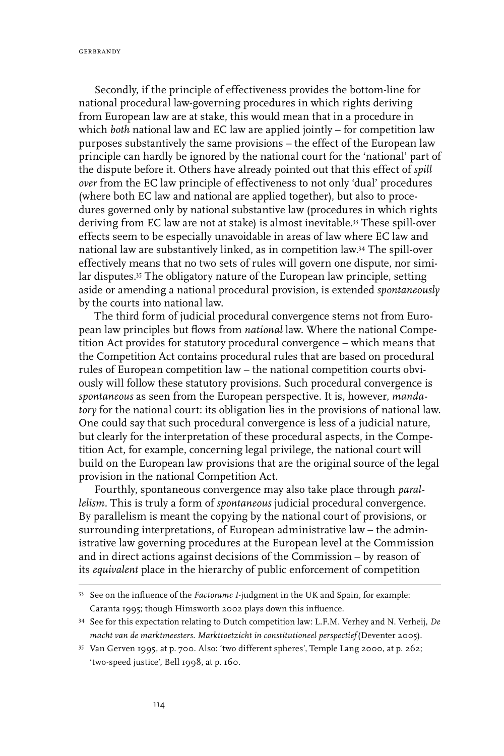gerbrandy

Secondly, if the principle of effectiveness provides the bottom-line for national procedural law-governing procedures in which rights deriving from European law are at stake, this would mean that in a procedure in which *both* national law and EC law are applied jointly – for competition law purposes substantively the same provisions – the effect of the European law principle can hardly be ignored by the national court for the 'national' part of the dispute before it. Others have already pointed out that this effect of *spill over* from the EC law principle of effectiveness to not only 'dual' procedures (where both EC law and national are applied together), but also to procedures governed only by national substantive law (procedures in which rights deriving from EC law are not at stake) is almost inevitable.33 These spill-over effects seem to be especially unavoidable in areas of law where EC law and national law are substantively linked, as in competition law.34 The spill-over effectively means that no two sets of rules will govern one dispute, nor similar disputes.35 The obligatory nature of the European law principle, setting aside or amending a national procedural provision, is extended *spontaneously* by the courts into national law.

The third form of judicial procedural convergence stems not from European law principles but flows from *national* law. Where the national Competition Act provides for statutory procedural convergence – which means that the Competition Act contains procedural rules that are based on procedural rules of European competition law – the national competition courts obviously will follow these statutory provisions. Such procedural convergence is *spontaneous* as seen from the European perspective. It is, however, *mandatory* for the national court: its obligation lies in the provisions of national law. One could say that such procedural convergence is less of a judicial nature, but clearly for the interpretation of these procedural aspects, in the Competition Act, for example, concerning legal privilege, the national court will build on the European law provisions that are the original source of the legal provision in the national Competition Act.

Fourthly, spontaneous convergence may also take place through *parallelism.* This is truly a form of *spontaneous* judicial procedural convergence. By parallelism is meant the copying by the national court of provisions, or surrounding interpretations, of European administrative law – the administrative law governing procedures at the European level at the Commission and in direct actions against decisions of the Commission – by reason of its *equivalent* place in the hierarchy of public enforcement of competition

<sup>33</sup> See on the influence of the *Factorame I*-judgment in the UK and Spain, for example: Caranta 1995; though Himsworth 2002 plays down this influence.

<sup>34</sup> See for this expectation relating to Dutch competition law: L.F.M. Verhey and N. Verheij, *De macht van de marktmeesters. Markttoetzicht in constitutioneel perspectief* (Deventer 2005).

<sup>35</sup> Van Gerven 1995, at p. 700. Also: 'two different spheres', Temple Lang 2000, at p. 262; 'two-speed justice', Bell 1998, at p. 160.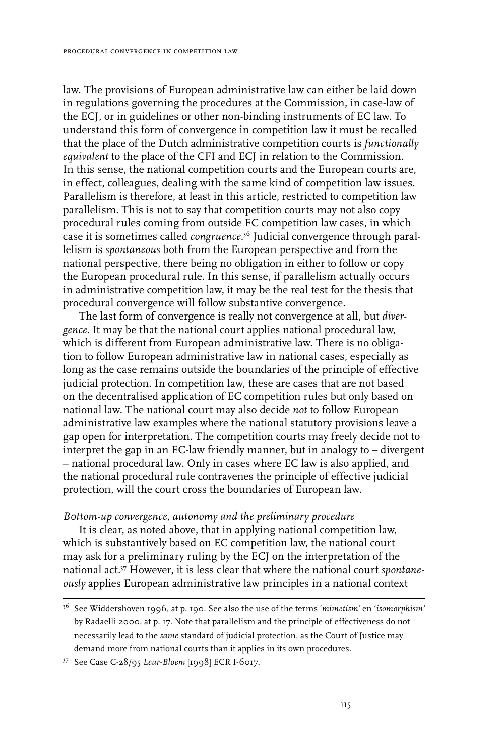law. The provisions of European administrative law can either be laid down in regulations governing the procedures at the Commission, in case-law of the ECJ, or in guidelines or other non-binding instruments of EC law. To understand this form of convergence in competition law it must be recalled that the place of the Dutch administrative competition courts is *functionally equivalent* to the place of the CFI and ECJ in relation to the Commission. In this sense, the national competition courts and the European courts are, in effect, colleagues, dealing with the same kind of competition law issues. Parallelism is therefore, at least in this article, restricted to competition law parallelism. This is not to say that competition courts may not also copy procedural rules coming from outside EC competition law cases, in which case it is sometimes called *congruence*. 36 Judicial convergence through parallelism is *spontaneous* both from the European perspective and from the national perspective, there being no obligation in either to follow or copy the European procedural rule. In this sense, if parallelism actually occurs in administrative competition law, it may be the real test for the thesis that procedural convergence will follow substantive convergence.

The last form of convergence is really not convergence at all, but *divergence*. It may be that the national court applies national procedural law, which is different from European administrative law. There is no obligation to follow European administrative law in national cases, especially as long as the case remains outside the boundaries of the principle of effective judicial protection. In competition law, these are cases that are not based on the decentralised application of EC competition rules but only based on national law. The national court may also decide *not* to follow European administrative law examples where the national statutory provisions leave a gap open for interpretation. The competition courts may freely decide not to interpret the gap in an EC-law friendly manner, but in analogy to – divergent – national procedural law. Only in cases where EC law is also applied, and the national procedural rule contravenes the principle of effective judicial protection, will the court cross the boundaries of European law.

### *B0ttom-up convergence, autonomy and the preliminary procedure*

It is clear, as noted above, that in applying national competition law, which is substantively based on EC competition law, the national court may ask for a preliminary ruling by the ECJ on the interpretation of the national act.37 However, it is less clear that where the national court *spontaneously* applies European administrative law principles in a national context

<sup>36</sup> See Widdershoven 1996, at p. 190. See also the use of the terms '*mimetism'* en '*isomorphism'* by Radaelli 2000, at p. 17. Note that parallelism and the principle of effectiveness do not necessarily lead to the *same* standard of judicial protection, as the Court of Justice may demand more from national courts than it applies in its own procedures.

<sup>37</sup> See Case C-28/95 *Leur-Bloem* [1998] ECR I-6017.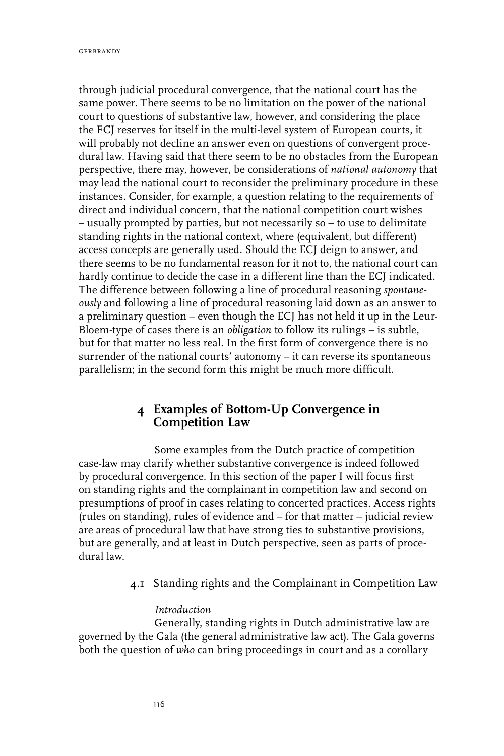through judicial procedural convergence, that the national court has the same power. There seems to be no limitation on the power of the national court to questions of substantive law, however, and considering the place the ECJ reserves for itself in the multi-level system of European courts, it will probably not decline an answer even on questions of convergent procedural law. Having said that there seem to be no obstacles from the European perspective, there may, however, be considerations of *national autonomy* that may lead the national court to reconsider the preliminary procedure in these instances. Consider, for example, a question relating to the requirements of direct and individual concern, that the national competition court wishes – usually prompted by parties, but not necessarily so – to use to delimitate standing rights in the national context, where (equivalent, but different) access concepts are generally used. Should the ECJ deign to answer, and there seems to be no fundamental reason for it not to, the national court can hardly continue to decide the case in a different line than the ECJ indicated. The difference between following a line of procedural reasoning *spontaneously* and following a line of procedural reasoning laid down as an answer to a preliminary question – even though the ECJ has not held it up in the Leur-Bloem-type of cases there is an *obligation* to follow its rulings – is subtle, but for that matter no less real. In the first form of convergence there is no surrender of the national courts' autonomy – it can reverse its spontaneous parallelism; in the second form this might be much more difficult.

## **4 Examples of Bottom-Up Convergence in Competition Law**

Some examples from the Dutch practice of competition case-law may clarify whether substantive convergence is indeed followed by procedural convergence. In this section of the paper I will focus first on standing rights and the complainant in competition law and second on presumptions of proof in cases relating to concerted practices. Access rights (rules on standing), rules of evidence and – for that matter – judicial review are areas of procedural law that have strong ties to substantive provisions, but are generally, and at least in Dutch perspective, seen as parts of procedural law.

4.1 Standing rights and the Complainant in Competition Law

## *Introduction*

Generally, standing rights in Dutch administrative law are governed by the Gala (the general administrative law act). The Gala governs both the question of *who* can bring proceedings in court and as a corollary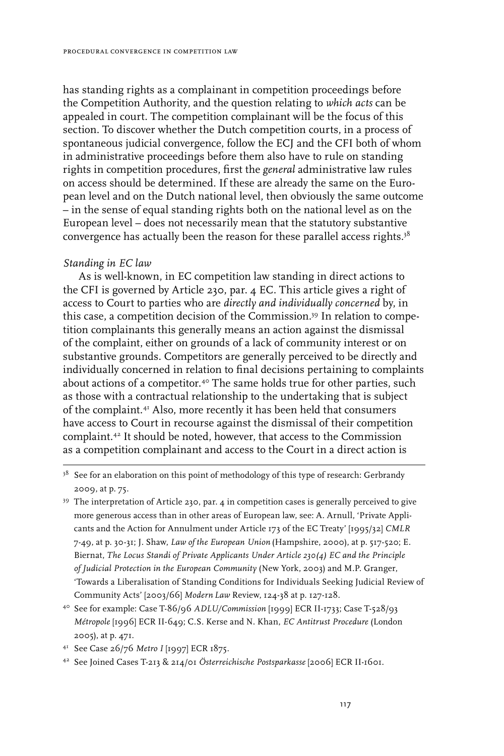has standing rights as a complainant in competition proceedings before the Competition Authority, and the question relating to *which acts* can be appealed in court. The competition complainant will be the focus of this section. To discover whether the Dutch competition courts, in a process of spontaneous judicial convergence, follow the ECJ and the CFI both of whom in administrative proceedings before them also have to rule on standing rights in competition procedures, first the *general* administrative law rules on access should be determined. If these are already the same on the European level and on the Dutch national level, then obviously the same outcome – in the sense of equal standing rights both on the national level as on the European level – does not necessarily mean that the statutory substantive convergence has actually been the reason for these parallel access rights.<sup>38</sup>

## *Standing in EC law*

As is well-known, in EC competition law standing in direct actions to the CFI is governed by Article 230, par. 4 EC. This article gives a right of access to Court to parties who are *directly and individually concerned* by, in this case, a competition decision of the Commission.39 In relation to competition complainants this generally means an action against the dismissal of the complaint, either on grounds of a lack of community interest or on substantive grounds. Competitors are generally perceived to be directly and individually concerned in relation to final decisions pertaining to complaints about actions of a competitor.<sup>40</sup> The same holds true for other parties, such as those with a contractual relationship to the undertaking that is subject of the complaint.41 Also, more recently it has been held that consumers have access to Court in recourse against the dismissal of their competition complaint.42 It should be noted, however, that access to the Commission as a competition complainant and access to the Court in a direct action is

- <sup>39</sup> The interpretation of Article 230, par. 4 in competition cases is generally perceived to give more generous access than in other areas of European law, see: A. Arnull, 'Private Applicants and the Action for Annulment under Article 173 of the EC Treaty' [1995/32] *CMLR* 7-49, at p. 30-31; J. Shaw, *Law of the European Union* (Hampshire, 2000), at p. 517-520; E. Biernat, *The Locus Standi of Private Applicants Under Article 230(4) EC and the Principle of Judicial Protection in the European Community* (New York, 2003) and M.P. Granger, 'Towards a Liberalisation of Standing Conditions for Individuals Seeking Judicial Review of Community Acts' [2003/66] *Modern Law* Review, 124-38 at p. 127-128.
- <sup>40</sup> See for example: Case T-86/96 *ADLU/Commission* [1999] ECR II-1733; Case T-528/93 *Métropole* [1996] ECR II-649; C.S. Kerse and N. Khan, *EC Antitrust Procedure* (London 2005), at p. 471.

<sup>&</sup>lt;sup>38</sup> See for an elaboration on this point of methodology of this type of research: Gerbrandy 2009, at p. 75.

<sup>41</sup> See Case 26/76 *Metro I* [1997] ECR 1875.

<sup>42</sup> See Joined Cases T-213 & 214/01 *Österreichische Postsparkasse* [2006] ECR II-1601.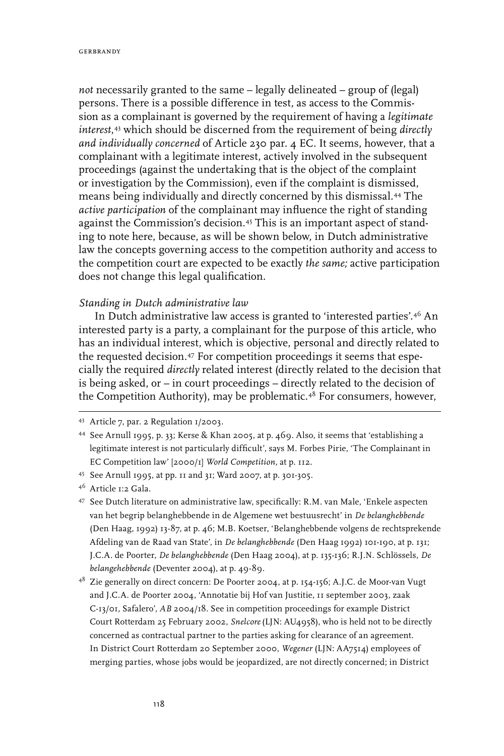*not* necessarily granted to the same – legally delineated – group of (legal) persons. There is a possible difference in test, as access to the Commission as a complainant is governed by the requirement of having a *legitimate interest*, 43 which should be discerned from the requirement of being *directly and individually concerned* of Article 230 par. 4 EC. It seems, however, that a complainant with a legitimate interest, actively involved in the subsequent proceedings (against the undertaking that is the object of the complaint or investigation by the Commission), even if the complaint is dismissed, means being individually and directly concerned by this dismissal.44 The *active participation* of the complainant may influence the right of standing against the Commission's decision.45 This is an important aspect of standing to note here, because, as will be shown below, in Dutch administrative law the concepts governing access to the competition authority and access to the competition court are expected to be exactly *the same;* active participation does not change this legal qualification.

## *Standing in Dutch administrative law*

In Dutch administrative law access is granted to 'interested parties'.46 An interested party is a party, a complainant for the purpose of this article, who has an individual interest, which is objective, personal and directly related to the requested decision.47 For competition proceedings it seems that especially the required *directly* related interest (directly related to the decision that is being asked, or – in court proceedings – directly related to the decision of the Competition Authority), may be problematic.48 For consumers, however,

<sup>43</sup> Article 7, par. 2 Regulation 1/2003.

<sup>44</sup> See Arnull 1995, p. 33; Kerse & Khan 2005, at p. 469. Also, it seems that 'establishing a legitimate interest is not particularly difficult', says M. Forbes Pirie, 'The Complainant in EC Competition law' [2000/1] *World Competition,* at p. 112.

<sup>45</sup> See Arnull 1995, at pp. 11 and 31; Ward 2007, at p. 301-305.

<sup>46</sup> Article 1:2 Gala.

<sup>47</sup> See Dutch literature on administrative law, specifically: R.M. van Male, 'Enkele aspecten van het begrip belanghebbende in de Algemene wet bestuusrecht' in *De belanghebbende* (Den Haag, 1992) 13-87, at p. 46; M.B. Koetser, 'Belanghebbende volgens de rechtsprekende Afdeling van de Raad van State', in *De belanghebbende* (Den Haag 1992) 101-190, at p. 131; J.C.A. de Poorter, *De belanghebbende* (Den Haag 2004), at p. 135-136; R.J.N. Schlössels, *De belangehebbende* (Deventer 2004), at p. 49-89.

<sup>48</sup> Zie generally on direct concern: De Poorter 2004, at p. 154-156; A.J.C. de Moor-van Vugt and J.C.A. de Poorter 2004, 'Annotatie bij Hof van Justitie, 11 september 2003, zaak C-13/01, Safalero', *AB* 2004/18. See in competition proceedings for example District Court Rotterdam 25 February 2002, *Snelcore*(LJN: AU4958), who is held not to be directly concerned as contractual partner to the parties asking for clearance of an agreement. In District Court Rotterdam 20 September 2000, *Wegener* (LJN: AA7514) employees of merging parties, whose jobs would be jeopardized, are not directly concerned; in District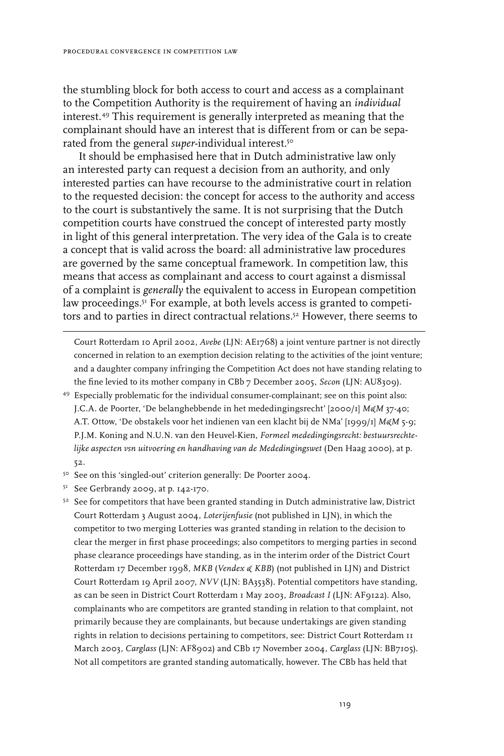the stumbling block for both access to court and access as a complainant to the Competition Authority is the requirement of having an *individual*  interest.49 This requirement is generally interpreted as meaning that the complainant should have an interest that is different from or can be separated from the general *super*-individual interest.50

It should be emphasised here that in Dutch administrative law only an interested party can request a decision from an authority, and only interested parties can have recourse to the administrative court in relation to the requested decision: the concept for access to the authority and access to the court is substantively the same. It is not surprising that the Dutch competition courts have construed the concept of interested party mostly in light of this general interpretation. The very idea of the Gala is to create a concept that is valid across the board: all administrative law procedures are governed by the same conceptual framework. In competition law, this means that access as complainant and access to court against a dismissal of a complaint is *generally* the equivalent to access in European competition law proceedings.<sup>51</sup> For example, at both levels access is granted to competitors and to parties in direct contractual relations.52 However, there seems to

Court Rotterdam 10 April 2002, *Avebe* (LJN: AE1768) a joint venture partner is not directly concerned in relation to an exemption decision relating to the activities of the joint venture; and a daughter company infringing the Competition Act does not have standing relating to the fine levied to its mother company in CBb 7 December 2005, *Secon* (LJN: AU8309).

- <sup>49</sup> Especially problematic for the individual consumer-complainant; see on this point also: J.C.A. de Poorter, 'De belanghebbende in het mededingingsrecht' [2000/1] *M&M* 37-40; A.T. Ottow, 'De obstakels voor het indienen van een klacht bij de NMa' [1999/1] *M&M* 5-9; P.J.M. Koning and N.U.N. van den Heuvel-Kien, *Formeel mededingingsrecht: bestuursrechte*lijke aspecten vsn uitvoering en handhaving van de Mededingingswet (Den Haag 2000), at p. 52.
- <sup>50</sup> See on this 'singled-out' criterion generally: De Poorter 2004.
- <sup>51</sup> See Gerbrandy 2009, at p. 142-170.
- $52$  See for competitors that have been granted standing in Dutch administrative law, District Court Rotterdam 3 August 2004, *Loterijenfusie* (not published in LJN), in which the competitor to two merging Lotteries was granted standing in relation to the decision to clear the merger in first phase proceedings; also competitors to merging parties in second phase clearance proceedings have standing, as in the interim order of the District Court Rotterdam 17 December 1998, *MKB* (*Vendex & KBB*) (not published in LJN) and District Court Rotterdam 19 April 2007, *NVV* (LJN: BA3538). Potential competitors have standing, as can be seen in District Court Rotterdam 1 May 2003, *Broadcast I* (LJN: AF9122). Also, complainants who are competitors are granted standing in relation to that complaint, not primarily because they are complainants, but because undertakings are given standing rights in relation to decisions pertaining to competitors, see: District Court Rotterdam 11 March 2003, *Carglass* (LJN: AF8902) and CBb 17 November 2004, *Carglass* (LJN: BB7105). Not all competitors are granted standing automatically, however. The CBb has held that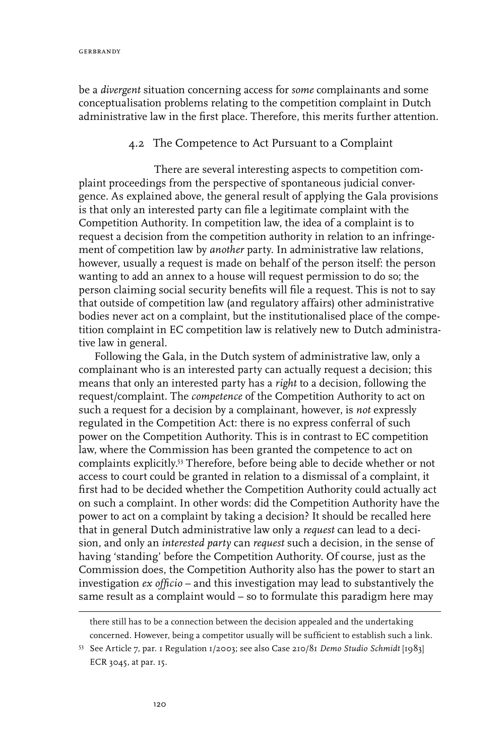be a *divergent* situation concerning access for *some* complainants and some conceptualisation problems relating to the competition complaint in Dutch administrative law in the first place. Therefore, this merits further attention.

## 4.2 The Competence to Act Pursuant to a Complaint

There are several interesting aspects to competition complaint proceedings from the perspective of spontaneous judicial convergence. As explained above, the general result of applying the Gala provisions is that only an interested party can file a legitimate complaint with the Competition Authority. In competition law, the idea of a complaint is to request a decision from the competition authority in relation to an infringement of competition law by *another* party. In administrative law relations, however, usually a request is made on behalf of the person itself: the person wanting to add an annex to a house will request permission to do so; the person claiming social security benefits will file a request. This is not to say that outside of competition law (and regulatory affairs) other administrative bodies never act on a complaint, but the institutionalised place of the competition complaint in EC competition law is relatively new to Dutch administrative law in general.

Following the Gala, in the Dutch system of administrative law, only a complainant who is an interested party can actually request a decision; this means that only an interested party has a *right* to a decision, following the request/complaint. The *competence* of the Competition Authority to act on such a request for a decision by a complainant, however, is *not* expressly regulated in the Competition Act: there is no express conferral of such power on the Competition Authority. This is in contrast to EC competition law, where the Commission has been granted the competence to act on complaints explicitly.53 Therefore, before being able to decide whether or not access to court could be granted in relation to a dismissal of a complaint, it first had to be decided whether the Competition Authority could actually act on such a complaint. In other words: did the Competition Authority have the power to act on a complaint by taking a decision? It should be recalled here that in general Dutch administrative law only a *request* can lead to a decision, and only an *interested party* can *request* such a decision, in the sense of having 'standing' before the Competition Authority. Of course, just as the Commission does, the Competition Authority also has the power to start an investigation *ex officio* – and this investigation may lead to substantively the same result as a complaint would – so to formulate this paradigm here may

there still has to be a connection between the decision appealed and the undertaking concerned. However, being a competitor usually will be sufficient to establish such a link.

<sup>53</sup> See Article 7, par. 1 Regulation 1/2003; see also Case 210/81 *Demo Studio Schmidt* [1983] ECR 3045, at par. 15.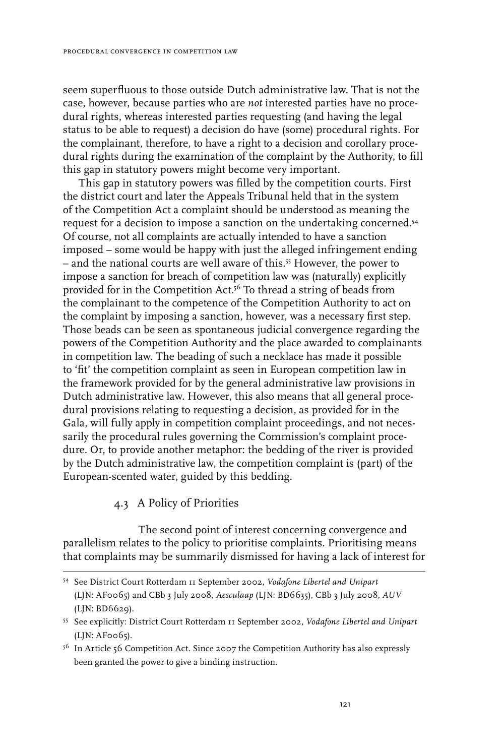seem superfluous to those outside Dutch administrative law. That is not the case, however, because parties who are *not* interested parties have no procedural rights, whereas interested parties requesting (and having the legal status to be able to request) a decision do have (some) procedural rights. For the complainant, therefore, to have a right to a decision and corollary procedural rights during the examination of the complaint by the Authority, to fill this gap in statutory powers might become very important.

This gap in statutory powers was filled by the competition courts. First the district court and later the Appeals Tribunal held that in the system of the Competition Act a complaint should be understood as meaning the request for a decision to impose a sanction on the undertaking concerned.54 Of course, not all complaints are actually intended to have a sanction imposed – some would be happy with just the alleged infringement ending – and the national courts are well aware of this.55 However, the power to impose a sanction for breach of competition law was (naturally) explicitly provided for in the Competition Act.<sup>56</sup> To thread a string of beads from the complainant to the competence of the Competition Authority to act on the complaint by imposing a sanction, however, was a necessary first step. Those beads can be seen as spontaneous judicial convergence regarding the powers of the Competition Authority and the place awarded to complainants in competition law. The beading of such a necklace has made it possible to 'fit' the competition complaint as seen in European competition law in the framework provided for by the general administrative law provisions in Dutch administrative law. However, this also means that all general procedural provisions relating to requesting a decision, as provided for in the Gala, will fully apply in competition complaint proceedings, and not necessarily the procedural rules governing the Commission's complaint procedure. Or, to provide another metaphor: the bedding of the river is provided by the Dutch administrative law, the competition complaint is (part) of the European-scented water, guided by this bedding.

### 4.3 A Policy of Priorities

The second point of interest concerning convergence and parallelism relates to the policy to prioritise complaints. Prioritising means that complaints may be summarily dismissed for having a lack of interest for

<sup>54</sup> See District Court Rotterdam 11 September 2002, *Vodafone Libertel and Unipart* (LJN: AF0065) and CBb 3 July 2008, *Aesculaap* (LJN: BD6635), CBb 3 July 2008, *AUV* (LJN: BD6629).

<sup>55</sup> See explicitly: District Court Rotterdam 11 September 2002, *Vodafone Libertel and Unipart*  (LJN: AF0065).

<sup>&</sup>lt;sup>56</sup> In Article 56 Competition Act. Since 2007 the Competition Authority has also expressly been granted the power to give a binding instruction.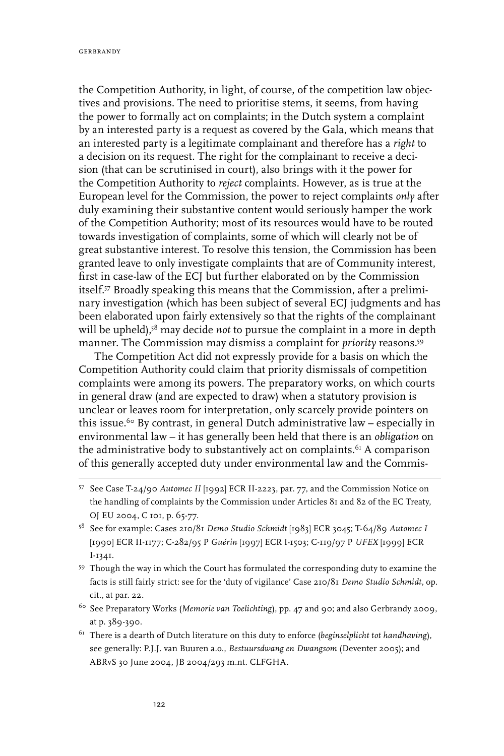the Competition Authority, in light, of course, of the competition law objectives and provisions. The need to prioritise stems, it seems, from having the power to formally act on complaints; in the Dutch system a complaint by an interested party is a request as covered by the Gala, which means that an interested party is a legitimate complainant and therefore has a *right* to a decision on its request. The right for the complainant to receive a decision (that can be scrutinised in court), also brings with it the power for the Competition Authority to *reject* complaints. However, as is true at the European level for the Commission, the power to reject complaints *only* after duly examining their substantive content would seriously hamper the work of the Competition Authority; most of its resources would have to be routed towards investigation of complaints, some of which will clearly not be of great substantive interest. To resolve this tension, the Commission has been granted leave to only investigate complaints that are of Community interest, first in case-law of the ECJ but further elaborated on by the Commission itself.57 Broadly speaking this means that the Commission, after a preliminary investigation (which has been subject of several ECJ judgments and has been elaborated upon fairly extensively so that the rights of the complainant will be upheld),<sup>58</sup> may decide *not* to pursue the complaint in a more in depth manner. The Commission may dismiss a complaint for *priority* reasons.59

The Competition Act did not expressly provide for a basis on which the Competition Authority could claim that priority dismissals of competition complaints were among its powers. The preparatory works, on which courts in general draw (and are expected to draw) when a statutory provision is unclear or leaves room for interpretation, only scarcely provide pointers on this issue.<sup>60</sup> By contrast, in general Dutch administrative law – especially in environmental law – it has generally been held that there is an *obligation* on the administrative body to substantively act on complaints.<sup>61</sup> A comparison of this generally accepted duty under environmental law and the Commis-

- <sup>58</sup> See for example: Cases 210/81 *Demo Studio Schmidt* [1983] ECR 3045; T-64/89 *Automec I* [1990] ECR II-1177; C-282/95 P *Guérin* [1997] ECR I-1503; C-119/97 P *UFEX* [1999] ECR I-1341.
- <sup>59</sup> Though the way in which the Court has formulated the corresponding duty to examine the facts is still fairly strict: see for the 'duty of vigilance' Case 210/81 *Demo Studio Schmidt*, op. cit., at par. 22.
- <sup>60</sup> See Preparatory Works (*Memorie van Toelichting*), pp. 47 and 90; and also Gerbrandy 2009, at p. 389-390.
- <sup>61</sup> There is a dearth of Dutch literature on this duty to enforce (*beginselplicht tot handhaving*), see generally: P.J.J. van Buuren a.o., *Bestuursdwang en Dwangsom* (Deventer 2005); and ABRvS 30 June 2004, JB 2004/293 m.nt. CLFGHA.

<sup>57</sup> See Case T-24/90 *Automec II* [1992] ECR II-2223, par. 77, and the Commission Notice on the handling of complaints by the Commission under Articles 81 and 82 of the EC Treaty, OJ EU 2004, C 101, p. 65-77.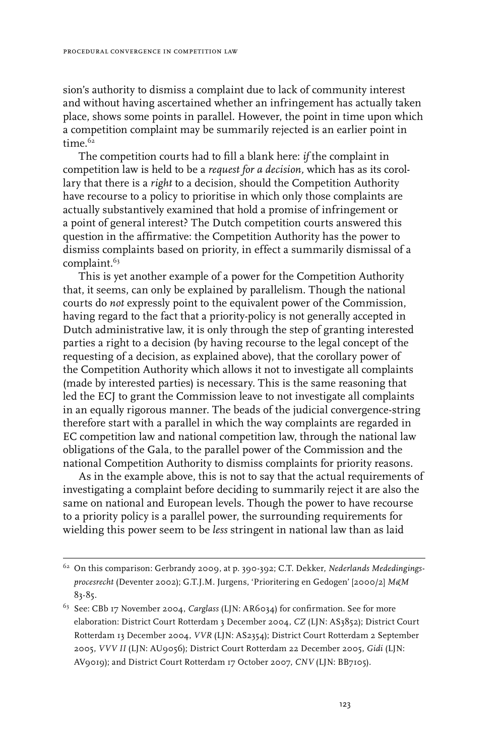sion's authority to dismiss a complaint due to lack of community interest and without having ascertained whether an infringement has actually taken place, shows some points in parallel. However, the point in time upon which a competition complaint may be summarily rejected is an earlier point in time.<sup>62</sup>

The competition courts had to fill a blank here: *if* the complaint in competition law is held to be a *request for a decision,* which has as its corollary that there is a *right* to a decision, should the Competition Authority have recourse to a policy to prioritise in which only those complaints are actually substantively examined that hold a promise of infringement or a point of general interest? The Dutch competition courts answered this question in the affirmative: the Competition Authority has the power to dismiss complaints based on priority, in effect a summarily dismissal of a complaint.<sup>63</sup>

This is yet another example of a power for the Competition Authority that, it seems, can only be explained by parallelism. Though the national courts do *not* expressly point to the equivalent power of the Commission, having regard to the fact that a priority-policy is not generally accepted in Dutch administrative law, it is only through the step of granting interested parties a right to a decision (by having recourse to the legal concept of the requesting of a decision, as explained above), that the corollary power of the Competition Authority which allows it not to investigate all complaints (made by interested parties) is necessary. This is the same reasoning that led the ECJ to grant the Commission leave to not investigate all complaints in an equally rigorous manner. The beads of the judicial convergence-string therefore start with a parallel in which the way complaints are regarded in EC competition law and national competition law, through the national law obligations of the Gala, to the parallel power of the Commission and the national Competition Authority to dismiss complaints for priority reasons.

As in the example above, this is not to say that the actual requirements of investigating a complaint before deciding to summarily reject it are also the same on national and European levels. Though the power to have recourse to a priority policy is a parallel power, the surrounding requirements for wielding this power seem to be *less* stringent in national law than as laid

<sup>62</sup> On this comparison: Gerbrandy 2009, at p. 390-392; C.T. Dekker, *Nederlands Mededingingsprocesrecht* (Deventer 2002); G.T.J.M. Jurgens, 'Prioritering en Gedogen' [2000/2] *M&M*  83-85.

<sup>63</sup> See: CBb 17 November 2004, *Carglass* (LJN: AR6034) for confirmation. See for more elaboration: District Court Rotterdam 3 December 2004, *CZ* (LJN: AS3852); District Court Rotterdam 13 December 2004, *VVR* (LJN: AS2354); District Court Rotterdam 2 September 2005, *VVV II* (LJN: AU9056); District Court Rotterdam 22 December 2005, *Gidi* (LJN: AV9019); and District Court Rotterdam 17 October 2007, *CNV* (LJN: BB7105).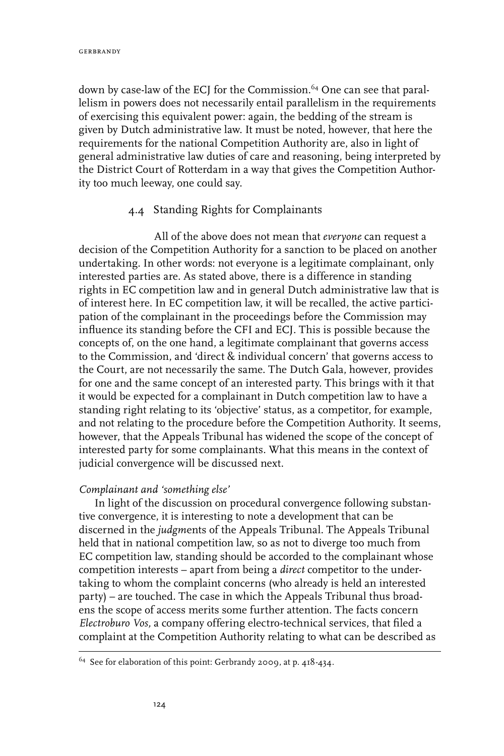down by case-law of the ECJ for the Commission.<sup>64</sup> One can see that parallelism in powers does not necessarily entail parallelism in the requirements of exercising this equivalent power: again, the bedding of the stream is given by Dutch administrative law. It must be noted, however, that here the requirements for the national Competition Authority are, also in light of general administrative law duties of care and reasoning, being interpreted by the District Court of Rotterdam in a way that gives the Competition Authority too much leeway, one could say.

## 4.4 Standing Rights for Complainants

All of the above does not mean that *everyone* can request a decision of the Competition Authority for a sanction to be placed on another undertaking. In other words: not everyone is a legitimate complainant, only interested parties are. As stated above, there is a difference in standing rights in EC competition law and in general Dutch administrative law that is of interest here. In EC competition law, it will be recalled, the active participation of the complainant in the proceedings before the Commission may influence its standing before the CFI and ECJ. This is possible because the concepts of, on the one hand, a legitimate complainant that governs access to the Commission, and 'direct & individual concern' that governs access to the Court, are not necessarily the same. The Dutch Gala, however, provides for one and the same concept of an interested party. This brings with it that it would be expected for a complainant in Dutch competition law to have a standing right relating to its 'objective' status, as a competitor, for example, and not relating to the procedure before the Competition Authority. It seems, however, that the Appeals Tribunal has widened the scope of the concept of interested party for some complainants. What this means in the context of judicial convergence will be discussed next.

## *Complainant and 'something else'*

In light of the discussion on procedural convergence following substantive convergence, it is interesting to note a development that can be discerned in the *judgm*ents of the Appeals Tribunal. The Appeals Tribunal held that in national competition law, so as not to diverge too much from EC competition law, standing should be accorded to the complainant whose competition interests – apart from being a *direct* competitor to the undertaking to whom the complaint concerns (who already is held an interested party) – are touched. The case in which the Appeals Tribunal thus broadens the scope of access merits some further attention. The facts concern *Electroburo Vos,* a company offering electro-technical services, that filed a complaint at the Competition Authority relating to what can be described as

<sup>64</sup> See for elaboration of this point: Gerbrandy 2009, at p. 418-434.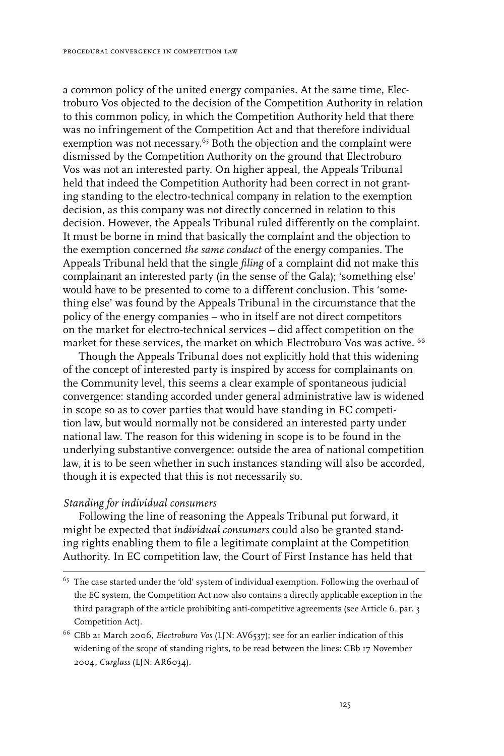a common policy of the united energy companies. At the same time, Electroburo Vos objected to the decision of the Competition Authority in relation to this common policy, in which the Competition Authority held that there was no infringement of the Competition Act and that therefore individual exemption was not necessary.<sup>65</sup> Both the objection and the complaint were dismissed by the Competition Authority on the ground that Electroburo Vos was not an interested party. On higher appeal, the Appeals Tribunal held that indeed the Competition Authority had been correct in not granting standing to the electro-technical company in relation to the exemption decision, as this company was not directly concerned in relation to this decision. However, the Appeals Tribunal ruled differently on the complaint. It must be borne in mind that basically the complaint and the objection to the exemption concerned *the same conduct* of the energy companies*.* The Appeals Tribunal held that the single *filing* of a complaint did not make this complainant an interested party (in the sense of the Gala); 'something else' would have to be presented to come to a different conclusion. This 'something else' was found by the Appeals Tribunal in the circumstance that the policy of the energy companies – who in itself are not direct competitors on the market for electro-technical services – did affect competition on the market for these services, the market on which Electroburo Vos was active. <sup>66</sup>

Though the Appeals Tribunal does not explicitly hold that this widening of the concept of interested party is inspired by access for complainants on the Community level, this seems a clear example of spontaneous judicial convergence: standing accorded under general administrative law is widened in scope so as to cover parties that would have standing in EC competition law, but would normally not be considered an interested party under national law. The reason for this widening in scope is to be found in the underlying substantive convergence: outside the area of national competition law, it is to be seen whether in such instances standing will also be accorded, though it is expected that this is not necessarily so.

#### *Standing for individual consumers*

Following the line of reasoning the Appeals Tribunal put forward, it might be expected that *individual consumers* could also be granted standing rights enabling them to file a legitimate complaint at the Competition Authority. In EC competition law, the Court of First Instance has held that

 $65$  The case started under the 'old' system of individual exemption. Following the overhaul of the EC system, the Competition Act now also contains a directly applicable exception in the third paragraph of the article prohibiting anti-competitive agreements (see Article 6, par. 3 Competition Act).

<sup>66</sup> CBb 21 March 2006, *Electroburo Vos* (LJN: AV6537); see for an earlier indication of this widening of the scope of standing rights, to be read between the lines: CBb 17 November 2004, *Carglass* (LJN: AR6034).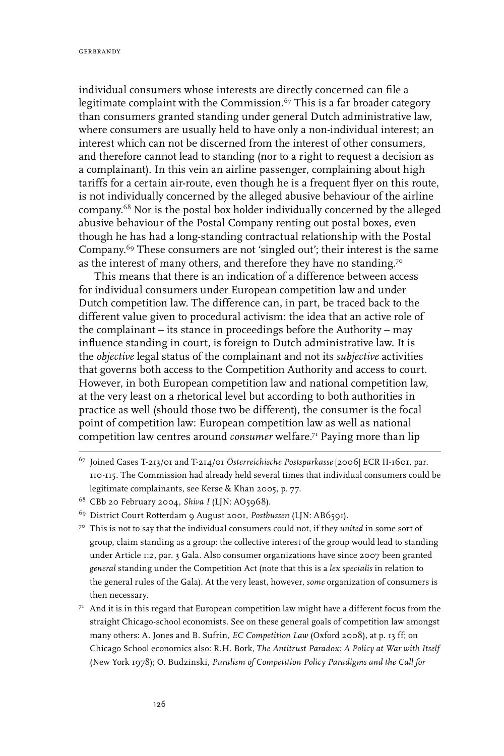individual consumers whose interests are directly concerned can file a legitimate complaint with the Commission.<sup>67</sup> This is a far broader category than consumers granted standing under general Dutch administrative law, where consumers are usually held to have only a non-individual interest; an interest which can not be discerned from the interest of other consumers, and therefore cannot lead to standing (nor to a right to request a decision as a complainant). In this vein an airline passenger, complaining about high tariffs for a certain air-route, even though he is a frequent flyer on this route, is not individually concerned by the alleged abusive behaviour of the airline company.68 Nor is the postal box holder individually concerned by the alleged abusive behaviour of the Postal Company renting out postal boxes, even though he has had a long-standing contractual relationship with the Postal Company.<sup>69</sup> These consumers are not 'singled out'; their interest is the same as the interest of many others, and therefore they have no standing.<sup>70</sup>

This means that there is an indication of a difference between access for individual consumers under European competition law and under Dutch competition law. The difference can, in part, be traced back to the different value given to procedural activism: the idea that an active role of the complainant – its stance in proceedings before the Authority – may influence standing in court, is foreign to Dutch administrative law. It is the *objective* legal status of the complainant and not its *subjective* activities that governs both access to the Competition Authority and access to court. However, in both European competition law and national competition law, at the very least on a rhetorical level but according to both authorities in practice as well (should those two be different), the consumer is the focal point of competition law: European competition law as well as national competition law centres around *consumer* welfare.71 Paying more than lip

- <sup>67</sup> Joined Cases T-213/01 and T-214/01 *Österreichische Postsparkasse* [2006] ECR II-1601, par. 110-115. The Commission had already held several times that individual consumers could be legitimate complainants, see Kerse & Khan 2005, p. 77.
- <sup>68</sup> CBb 20 February 2004, *Shiva I* (LJN: AO5968).
- <sup>69</sup> District Court Rotterdam 9 August 2001, *Postbussen* (LJN: AB6591).
- <sup>70</sup> This is not to say that the individual consumers could not, if they *united* in some sort of group, claim standing as a group: the collective interest of the group would lead to standing under Article 1:2, par. 3 Gala. Also consumer organizations have since 2007 been granted *general* standing under the Competition Act (note that this is a *lex specialis* in relation to the general rules of the Gala). At the very least, however, *some* organization of consumers is then necessary.
- $7<sup>T</sup>$  And it is in this regard that European competition law might have a different focus from the straight Chicago-school economists. See on these general goals of competition law amongst many others: A. Jones and B. Sufrin, *EC Competition Law* (Oxford 2008), at p. 13 ff; on Chicago School economics also: R.H. Bork, *The Antitrust Paradox: A Policy at War with Itself* (New York 1978); O. Budzinski, *Puralism of Competition Policy Paradigms and the Call for*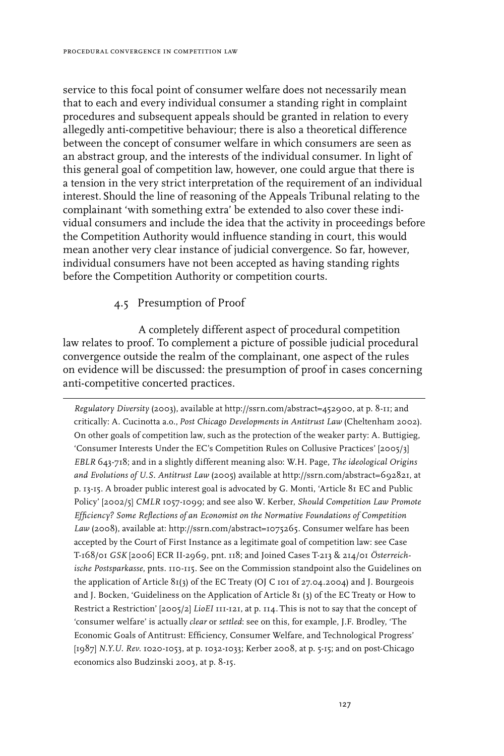service to this focal point of consumer welfare does not necessarily mean that to each and every individual consumer a standing right in complaint procedures and subsequent appeals should be granted in relation to every allegedly anti-competitive behaviour; there is also a theoretical difference between the concept of consumer welfare in which consumers are seen as an abstract group, and the interests of the individual consumer. In light of this general goal of competition law, however, one could argue that there is a tension in the very strict interpretation of the requirement of an individual interest.Should the line of reasoning of the Appeals Tribunal relating to the complainant 'with something extra' be extended to also cover these individual consumers and include the idea that the activity in proceedings before the Competition Authority would influence standing in court, this would mean another very clear instance of judicial convergence. So far, however, individual consumers have not been accepted as having standing rights before the Competition Authority or competition courts.

## 4.5 Presumption of Proof

A completely different aspect of procedural competition law relates to proof. To complement a picture of possible judicial procedural convergence outside the realm of the complainant, one aspect of the rules on evidence will be discussed: the presumption of proof in cases concerning anti-competitive concerted practices.

*Regulatory Diversity* (2003), available at http://ssrn.com/abstract=452900, at p. 8-11; and critically: A. Cucinotta a.o., *Post Chicago Developments in Antitrust Law* (Cheltenham 2002). On other goals of competition law, such as the protection of the weaker party: A. Buttigieg, 'Consumer Interests Under the EC's Competition Rules on Collusive Practices' [2005/3] *EBLR* 643-718; and in a slightly different meaning also: W.H. Page, *The ideological Origins and Evolutions of U.S. Antitrust Law* (2005) available at http://ssrn.com/abstract=692821, at p. 13-15. A broader public interest goal is advocated by G. Monti, 'Article 81 EC and Public Policy' [2002/5] *CMLR* 1057-1099; and see also W. Kerber, *Should Competition Law Promote Efficiency? Some Reflections of an Economist on the Normative Foundations of Competition Law* (2008), available at: http://ssrn.com/abstract=1075265. Consumer welfare has been accepted by the Court of First Instance as a legitimate goal of competition law: see Case T-168/01 *GSK* [2006] ECR II-2969, pnt. 118; and Joined Cases T-213 & 214/01 *Österreichische Postsparkasse*, pnts. 110-115. See on the Commission standpoint also the Guidelines on the application of Article 81(3) of the EC Treaty (OJ C 101 of 27.04.2004) and J. Bourgeois and J. Bocken, 'Guideliness on the Application of Article 81 (3) of the EC Treaty or How to Restrict a Restriction' [2005/2] *LioEI* 111-121, at p. 114. This is not to say that the concept of 'consumer welfare' is actually *clear* or *settled*: see on this, for example, J.F. Brodley, 'The Economic Goals of Antitrust: Efficiency, Consumer Welfare, and Technological Progress' [1987] *N.Y.U. Rev.* 1020-1053, at p. 1032-1033; Kerber 2008, at p. 5-15; and on post-Chicago economics also Budzinski 2003, at p. 8-15.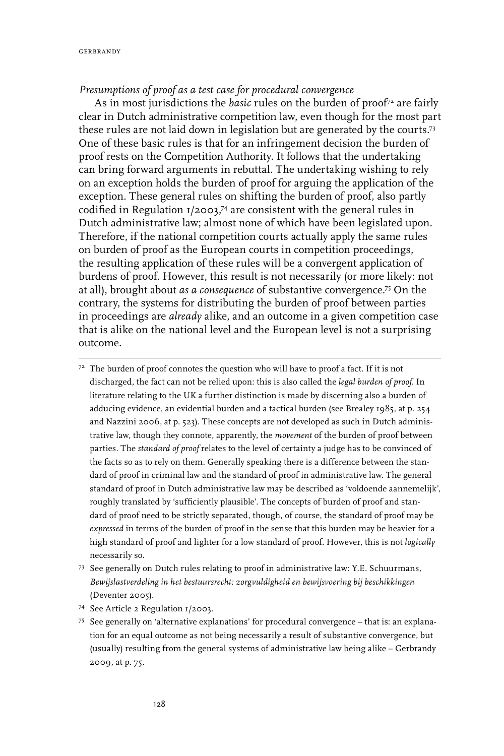## *Presumptions of proof as a test case for procedural convergence*

As in most jurisdictions the *basic* rules on the burden of proof<sup>72</sup> are fairly clear in Dutch administrative competition law, even though for the most part these rules are not laid down in legislation but are generated by the courts.73 One of these basic rules is that for an infringement decision the burden of proof rests on the Competition Authority. It follows that the undertaking can bring forward arguments in rebuttal. The undertaking wishing to rely on an exception holds the burden of proof for arguing the application of the exception. These general rules on shifting the burden of proof, also partly codified in Regulation 1/2003, 74 are consistent with the general rules in Dutch administrative law; almost none of which have been legislated upon. Therefore, if the national competition courts actually apply the same rules on burden of proof as the European courts in competition proceedings, the resulting application of these rules will be a convergent application of burdens of proof. However, this result is not necessarily (or more likely: not at all), brought about *as a consequence* of substantive convergence.75 On the contrary, the systems for distributing the burden of proof between parties in proceedings are *already* alike, and an outcome in a given competition case that is alike on the national level and the European level is not a surprising outcome.

 $72$  The burden of proof connotes the question who will have to proof a fact. If it is not discharged, the fact can not be relied upon: this is also called the *legal burden of proof*. In literature relating to the UK a further distinction is made by discerning also a burden of adducing evidence, an evidential burden and a tactical burden (see Brealey 1985, at p. 254 and Nazzini 2006, at p. 523). These concepts are not developed as such in Dutch administrative law, though they connote, apparently, the *movement* of the burden of proof between parties. The *standard of proof* relates to the level of certainty a judge has to be convinced of the facts so as to rely on them. Generally speaking there is a difference between the standard of proof in criminal law and the standard of proof in administrative law. The general standard of proof in Dutch administrative law may be described as 'voldoende aannemelijk', roughly translated by 'sufficiently plausible'. The concepts of burden of proof and standard of proof need to be strictly separated, though, of course, the standard of proof may be *expressed* in terms of the burden of proof in the sense that this burden may be heavier for a high standard of proof and lighter for a low standard of proof. However, this is not *logically* necessarily so.

- <sup>73</sup> See generally on Dutch rules relating to proof in administrative law: Y.E. Schuurmans, *Bewijslastverdeling in het bestuursrecht: zorgvuldigheid en bewijsvoering bij beschikkingen* (Deventer 2005).
- <sup>74</sup> See Article 2 Regulation 1/2003.
- <sup>75</sup> See generally on 'alternative explanations' for procedural convergence that is: an explanation for an equal outcome as not being necessarily a result of substantive convergence, but (usually) resulting from the general systems of administrative law being alike – Gerbrandy 2009, at p. 75.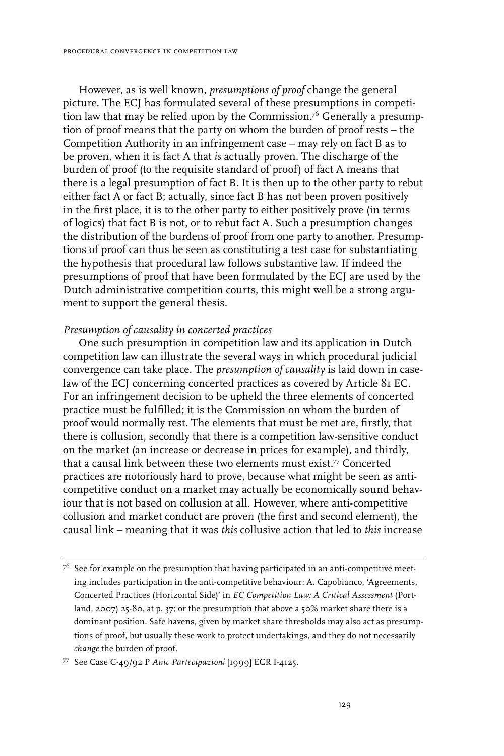However, as is well known, *presumptions of proof* change the general picture. The ECJ has formulated several of these presumptions in competition law that may be relied upon by the Commission.<sup>76</sup> Generally a presumption of proof means that the party on whom the burden of proof rests – the Competition Authority in an infringement case – may rely on fact B as to be proven, when it is fact A that *is* actually proven. The discharge of the burden of proof (to the requisite standard of proof) of fact A means that there is a legal presumption of fact B. It is then up to the other party to rebut either fact A or fact B; actually, since fact B has not been proven positively in the first place, it is to the other party to either positively prove (in terms of logics) that fact B is not, or to rebut fact A. Such a presumption changes the distribution of the burdens of proof from one party to another. Presumptions of proof can thus be seen as constituting a test case for substantiating the hypothesis that procedural law follows substantive law. If indeed the presumptions of proof that have been formulated by the ECJ are used by the Dutch administrative competition courts, this might well be a strong argument to support the general thesis.

## *Presumption of causality in concerted practices*

One such presumption in competition law and its application in Dutch competition law can illustrate the several ways in which procedural judicial convergence can take place. The *presumption of causality* is laid down in caselaw of the ECJ concerning concerted practices as covered by Article 81 EC. For an infringement decision to be upheld the three elements of concerted practice must be fulfilled; it is the Commission on whom the burden of proof would normally rest. The elements that must be met are, firstly, that there is collusion, secondly that there is a competition law-sensitive conduct on the market (an increase or decrease in prices for example), and thirdly, that a causal link between these two elements must exist.77 Concerted practices are notoriously hard to prove, because what might be seen as anticompetitive conduct on a market may actually be economically sound behaviour that is not based on collusion at all. However, where anti-competitive collusion and market conduct are proven (the first and second element), the causal link – meaning that it was *this* collusive action that led to *this* increase

 $7<sup>6</sup>$  See for example on the presumption that having participated in an anti-competitive meeting includes participation in the anti-competitive behaviour: A. Capobianco, 'Agreements, Concerted Practices (Horizontal Side)' in *EC Competition Law: A Critical Assessment* (Portland, 2007) 25-80, at p. 37; or the presumption that above a 50% market share there is a dominant position. Safe havens, given by market share thresholds may also act as presumptions of proof, but usually these work to protect undertakings, and they do not necessarily *change* the burden of proof.

<sup>77</sup> See Case C-49/92 P *Anic Partecipazioni* [1999] ECR I-4125.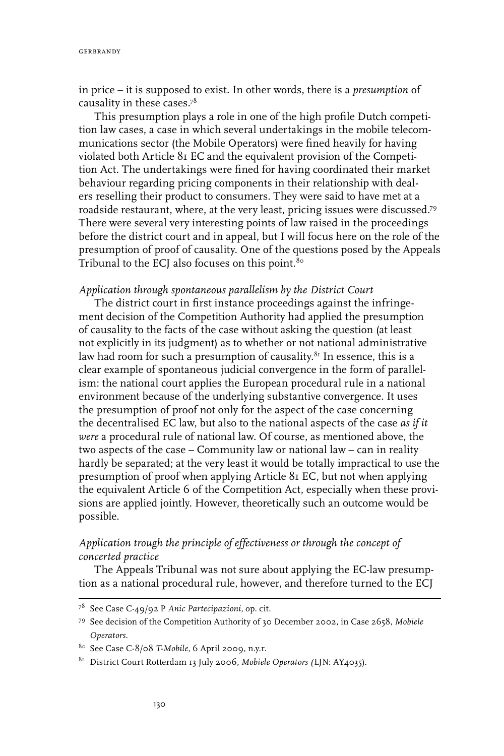in price – it is supposed to exist. In other words, there is a *presumption* of causality in these cases.78

This presumption plays a role in one of the high profile Dutch competition law cases, a case in which several undertakings in the mobile telecommunications sector (the Mobile Operators) were fined heavily for having violated both Article 81 EC and the equivalent provision of the Competition Act. The undertakings were fined for having coordinated their market behaviour regarding pricing components in their relationship with dealers reselling their product to consumers. They were said to have met at a roadside restaurant, where, at the very least, pricing issues were discussed.79 There were several very interesting points of law raised in the proceedings before the district court and in appeal, but I will focus here on the role of the presumption of proof of causality. One of the questions posed by the Appeals Tribunal to the ECJ also focuses on this point. $80^\circ$ 

### *Application through spontaneous parallelism by the District Court*

The district court in first instance proceedings against the infringement decision of the Competition Authority had applied the presumption of causality to the facts of the case without asking the question (at least not explicitly in its judgment) as to whether or not national administrative law had room for such a presumption of causality.<sup>81</sup> In essence, this is a clear example of spontaneous judicial convergence in the form of parallelism: the national court applies the European procedural rule in a national environment because of the underlying substantive convergence. It uses the presumption of proof not only for the aspect of the case concerning the decentralised EC law, but also to the national aspects of the case *as if it were* a procedural rule of national law. Of course, as mentioned above, the two aspects of the case – Community law or national law – can in reality hardly be separated; at the very least it would be totally impractical to use the presumption of proof when applying Article 81 EC, but not when applying the equivalent Article 6 of the Competition Act, especially when these provisions are applied jointly. However, theoretically such an outcome would be possible.

## *Application trough the principle of effectiveness or through the concept of concerted practice*

The Appeals Tribunal was not sure about applying the EC-law presumption as a national procedural rule, however, and therefore turned to the ECJ

<sup>78</sup> See Case C-49/92 P *Anic Partecipazioni*, op. cit.

<sup>79</sup> See decision of the Competition Authority of 30 December 2002, in Case 2658, *Mobiele Operators*.

<sup>80</sup> See Case C-8/08 *T-Mobile*, 6 April 2009, n.y.r.

<sup>81</sup> District Court Rotterdam 13 July 2006, *Mobiele Operators (*LJN: AY4035).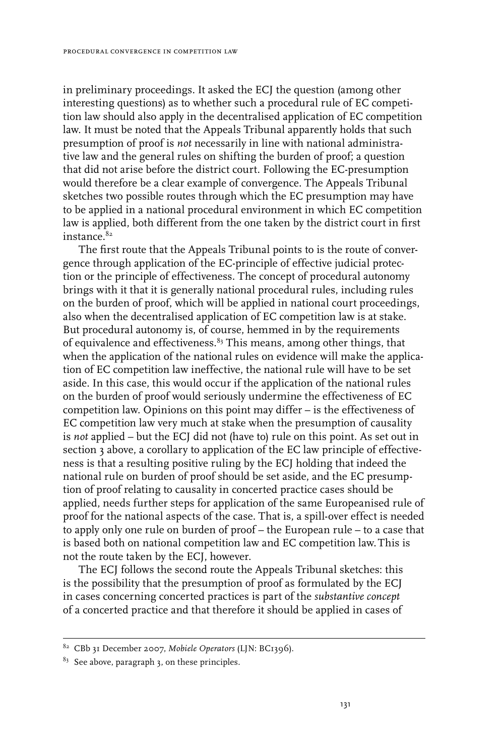in preliminary proceedings. It asked the ECJ the question (among other interesting questions) as to whether such a procedural rule of EC competition law should also apply in the decentralised application of EC competition law. It must be noted that the Appeals Tribunal apparently holds that such presumption of proof is *not* necessarily in line with national administrative law and the general rules on shifting the burden of proof; a question that did not arise before the district court. Following the EC-presumption would therefore be a clear example of convergence. The Appeals Tribunal sketches two possible routes through which the EC presumption may have to be applied in a national procedural environment in which EC competition law is applied, both different from the one taken by the district court in first instance.<sup>82</sup>

The first route that the Appeals Tribunal points to is the route of convergence through application of the EC-principle of effective judicial protection or the principle of effectiveness. The concept of procedural autonomy brings with it that it is generally national procedural rules, including rules on the burden of proof, which will be applied in national court proceedings, also when the decentralised application of EC competition law is at stake. But procedural autonomy is, of course, hemmed in by the requirements of equivalence and effectiveness. $\emph{^{83}}$  This means, among other things, that when the application of the national rules on evidence will make the application of EC competition law ineffective, the national rule will have to be set aside. In this case, this would occur if the application of the national rules on the burden of proof would seriously undermine the effectiveness of EC competition law. Opinions on this point may differ – is the effectiveness of EC competition law very much at stake when the presumption of causality is *not* applied – but the ECJ did not (have to) rule on this point. As set out in section 3 above, a corollary to application of the EC law principle of effectiveness is that a resulting positive ruling by the ECJ holding that indeed the national rule on burden of proof should be set aside, and the EC presumption of proof relating to causality in concerted practice cases should be applied, needs further steps for application of the same Europeanised rule of proof for the national aspects of the case. That is, a spill-over effect is needed to apply only one rule on burden of proof – the European rule – to a case that is based both on national competition law and EC competition law.This is not the route taken by the ECJ, however.

The ECJ follows the second route the Appeals Tribunal sketches: this is the possibility that the presumption of proof as formulated by the ECJ in cases concerning concerted practices is part of the *substantive concept* of a concerted practice and that therefore it should be applied in cases of

<sup>82</sup> CBb 31 December 2007, *Mobiele Operators* (LJN: BC1396).

 $83$  See above, paragraph 3, on these principles.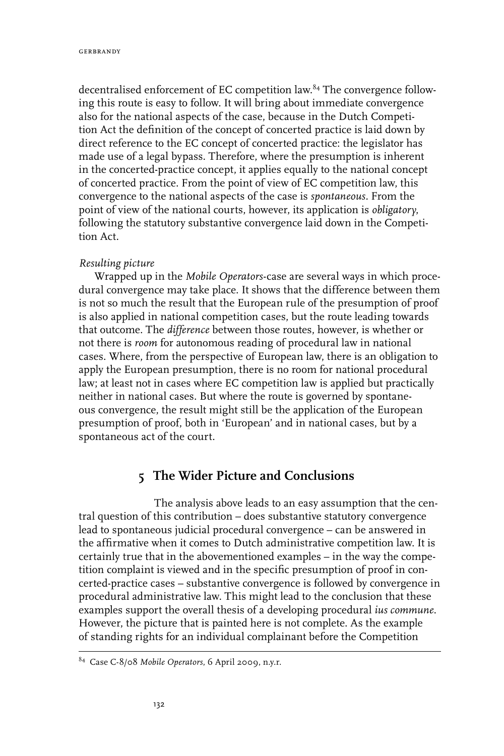decentralised enforcement of EC competition law.<sup>84</sup> The convergence following this route is easy to follow. It will bring about immediate convergence also for the national aspects of the case, because in the Dutch Competition Act the definition of the concept of concerted practice is laid down by direct reference to the EC concept of concerted practice: the legislator has made use of a legal bypass. Therefore, where the presumption is inherent in the concerted-practice concept, it applies equally to the national concept of concerted practice. From the point of view of EC competition law, this convergence to the national aspects of the case is *spontaneous.* From the point of view of the national courts, however, its application is *obligatory*, following the statutory substantive convergence laid down in the Competition Act.

### *Resulting picture*

Wrapped up in the *Mobile Operators*-case are several ways in which procedural convergence may take place. It shows that the difference between them is not so much the result that the European rule of the presumption of proof is also applied in national competition cases, but the route leading towards that outcome. The *difference* between those routes, however, is whether or not there is *room* for autonomous reading of procedural law in national cases. Where, from the perspective of European law, there is an obligation to apply the European presumption, there is no room for national procedural law; at least not in cases where EC competition law is applied but practically neither in national cases. But where the route is governed by spontaneous convergence, the result might still be the application of the European presumption of proof, both in 'European' and in national cases, but by a spontaneous act of the court.

## **5 The Wider Picture and Conclusions**

The analysis above leads to an easy assumption that the central question of this contribution – does substantive statutory convergence lead to spontaneous judicial procedural convergence – can be answered in the affirmative when it comes to Dutch administrative competition law. It is certainly true that in the abovementioned examples – in the way the competition complaint is viewed and in the specific presumption of proof in concerted-practice cases – substantive convergence is followed by convergence in procedural administrative law. This might lead to the conclusion that these examples support the overall thesis of a developing procedural *ius commune*. However, the picture that is painted here is not complete. As the example of standing rights for an individual complainant before the Competition

<sup>84</sup> Case C-8/08 *Mobile Operators*, 6 April 2009, n.y.r.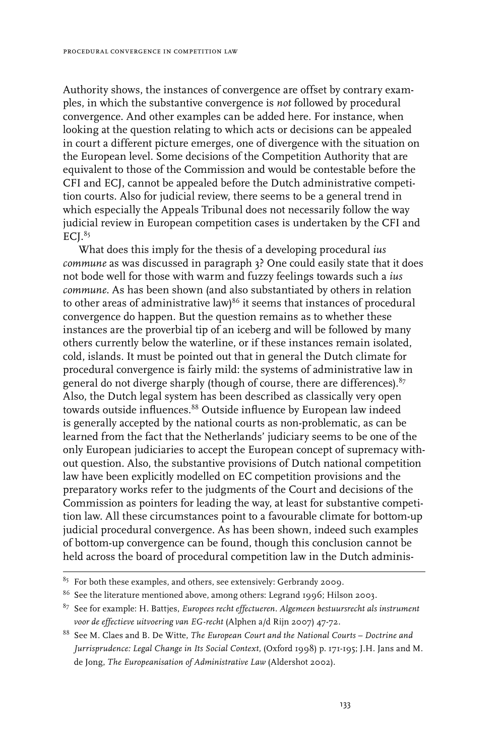Authority shows, the instances of convergence are offset by contrary examples, in which the substantive convergence is *not* followed by procedural convergence. And other examples can be added here. For instance, when looking at the question relating to which acts or decisions can be appealed in court a different picture emerges, one of divergence with the situation on the European level. Some decisions of the Competition Authority that are equivalent to those of the Commission and would be contestable before the CFI and ECJ, cannot be appealed before the Dutch administrative competition courts. Also for judicial review, there seems to be a general trend in which especially the Appeals Tribunal does not necessarily follow the way judicial review in European competition cases is undertaken by the CFI and  $ECI.<sup>85</sup>$ 

What does this imply for the thesis of a developing procedural *ius commune* as was discussed in paragraph 3? One could easily state that it does not bode well for those with warm and fuzzy feelings towards such a *ius commune*. As has been shown (and also substantiated by others in relation to other areas of administrative law) $86$  it seems that instances of procedural convergence do happen. But the question remains as to whether these instances are the proverbial tip of an iceberg and will be followed by many others currently below the waterline, or if these instances remain isolated, cold, islands. It must be pointed out that in general the Dutch climate for procedural convergence is fairly mild: the systems of administrative law in general do not diverge sharply (though of course, there are differences).<sup>87</sup> Also, the Dutch legal system has been described as classically very open towards outside influences.<sup>88</sup> Outside influence by European law indeed is generally accepted by the national courts as non-problematic, as can be learned from the fact that the Netherlands' judiciary seems to be one of the only European judiciaries to accept the European concept of supremacy without question. Also, the substantive provisions of Dutch national competition law have been explicitly modelled on EC competition provisions and the preparatory works refer to the judgments of the Court and decisions of the Commission as pointers for leading the way, at least for substantive competition law. All these circumstances point to a favourable climate for bottom-up judicial procedural convergence. As has been shown, indeed such examples of bottom-up convergence can be found, though this conclusion cannot be held across the board of procedural competition law in the Dutch adminis-

 $85$  For both these examples, and others, see extensively: Gerbrandy 2009.

<sup>86</sup> See the literature mentioned above, among others: Legrand 1996; Hilson 2003.

<sup>87</sup> See for example: H. Battjes, *Europees recht effectueren. Algemeen bestuursrecht als instrument voor de effectieve uitvoering van EG-recht* (Alphen a/d Rijn 2007) 47-72.

<sup>88</sup> See M. Claes and B. De Witte, *The European Court and the National Courts – Doctrine and Jurrisprudence: Legal Change in Its Social Context,* (Oxford 1998) p. 171-195; J.H. Jans and M. de Jong, *The Europeanisation of Administrative Law* (Aldershot 2002).